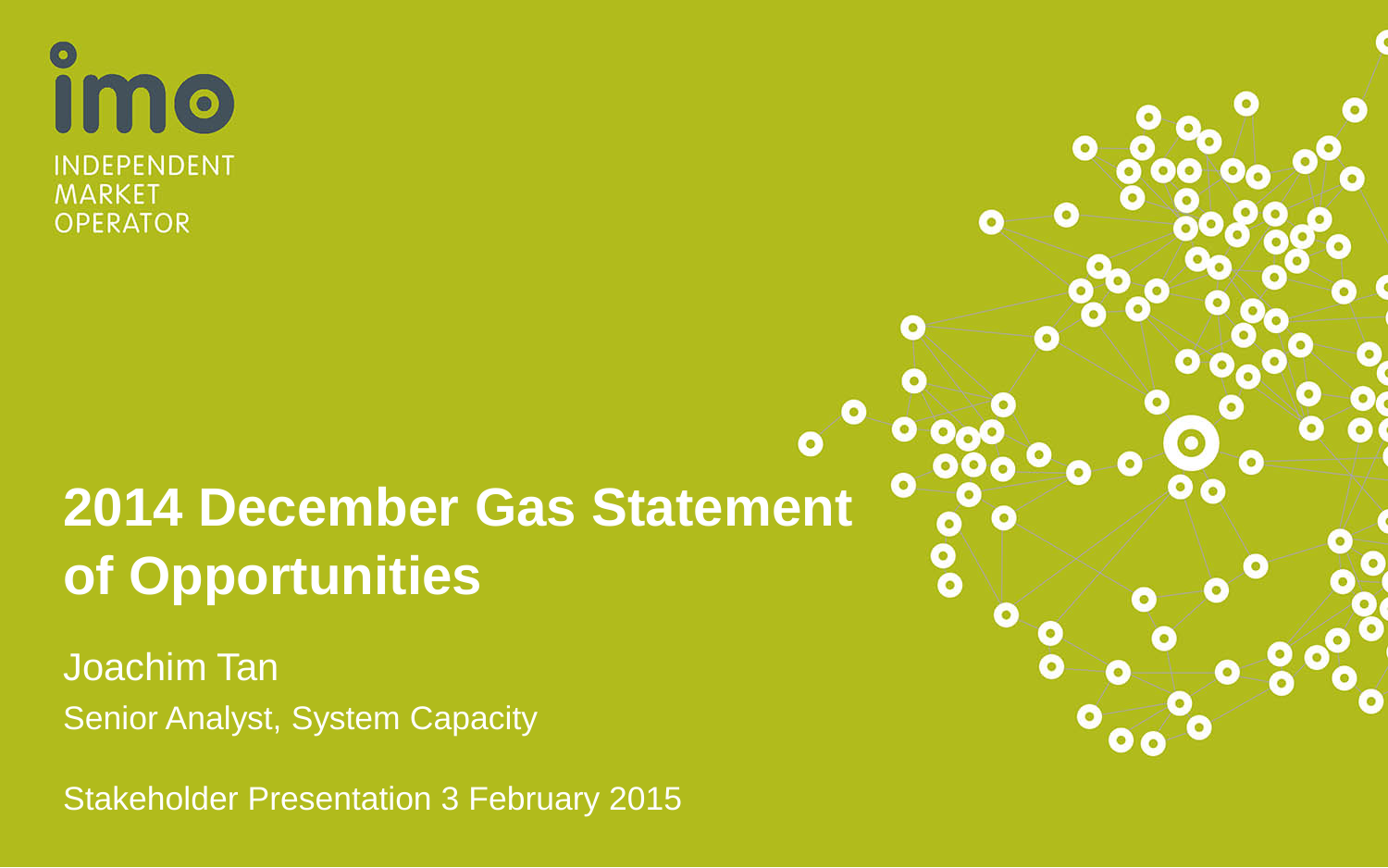**IMO** INDEPENDENT **MARKET OPERATOR** 

# **2014 December Gas Statement of Opportunities**

Joachim Tan Senior Analyst, System Capacity

Stakeholder Presentation 3 February 2015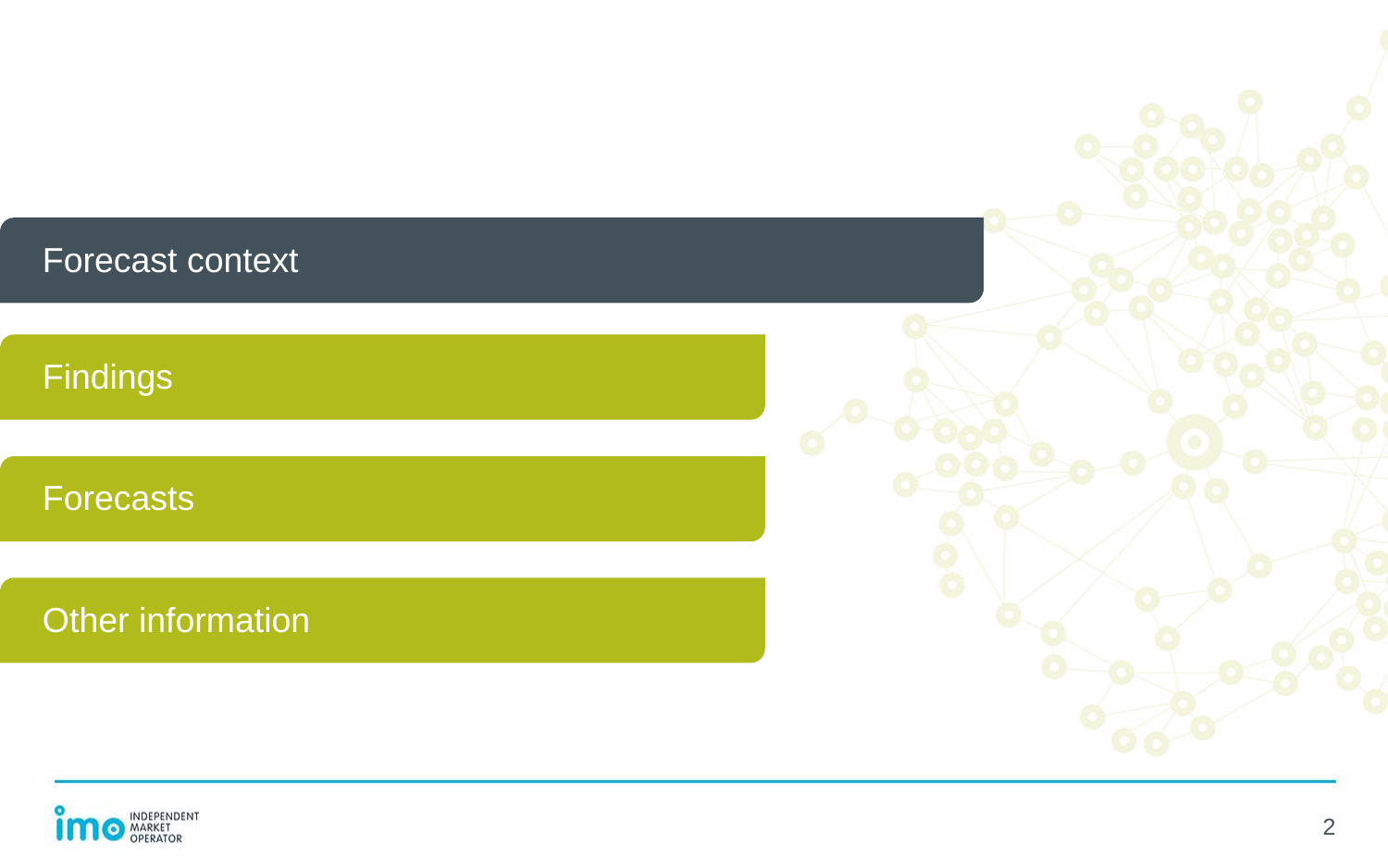#### Forecast context

Findings

**Forecasts** 

Other information

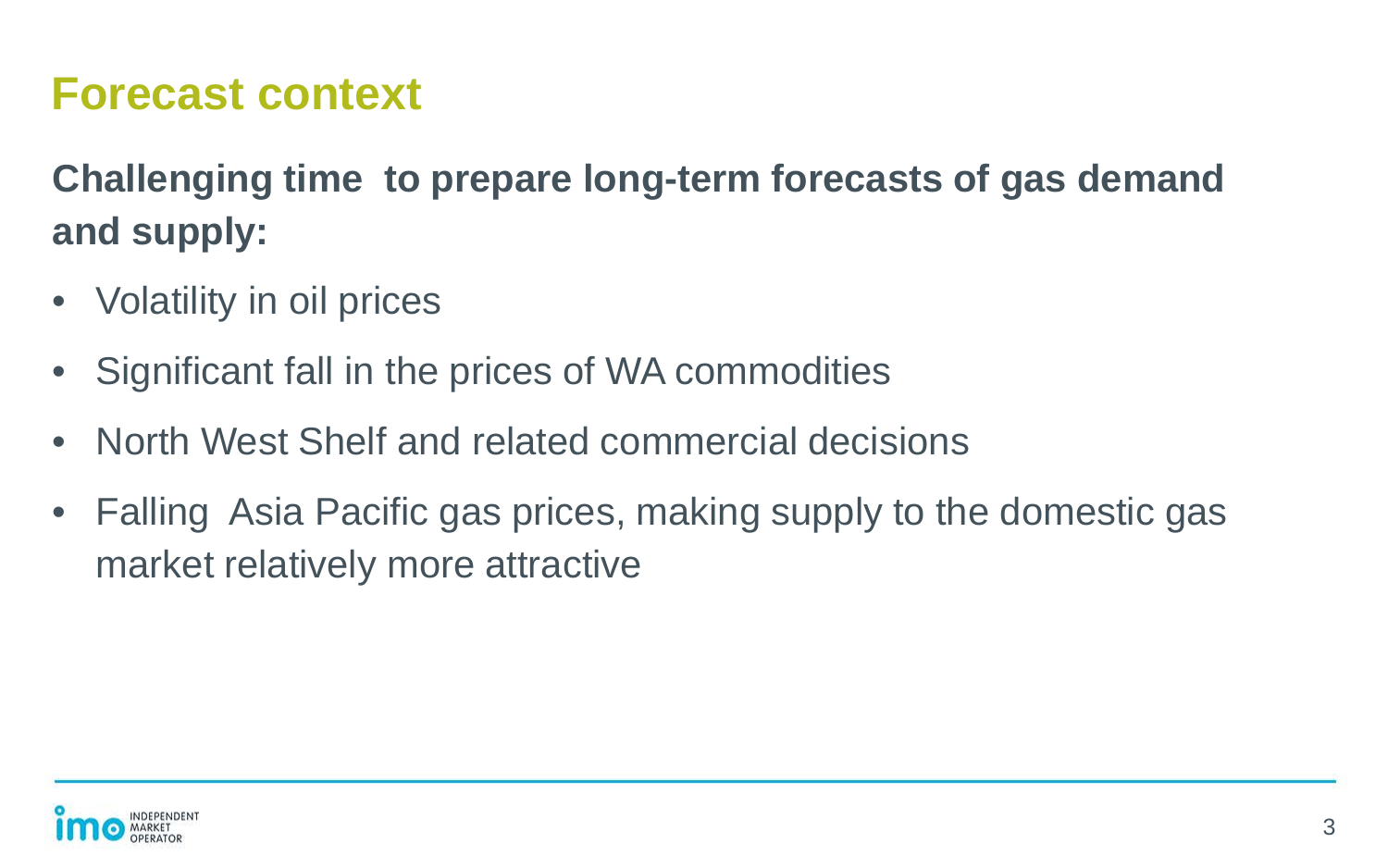#### **Forecast context**

**Challenging time to prepare long-term forecasts of gas demand and supply:**

- Volatility in oil prices
- Significant fall in the prices of WA commodities
- North West Shelf and related commercial decisions
- Falling Asia Pacific gas prices, making supply to the domestic gas market relatively more attractive

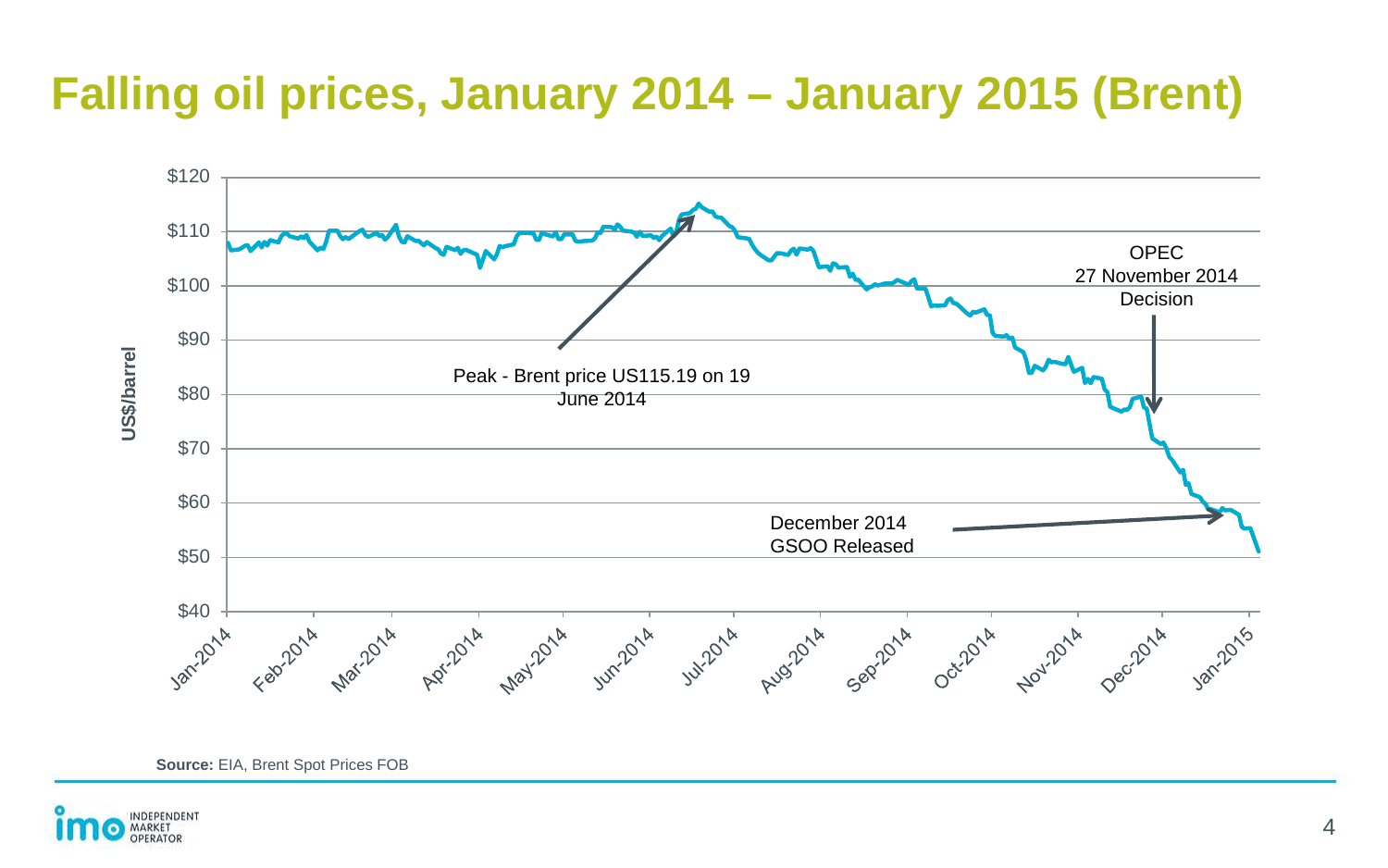### **Falling oil prices, January 2014 – January 2015 (Brent)**



**Source:** EIA, Brent Spot Prices FOB

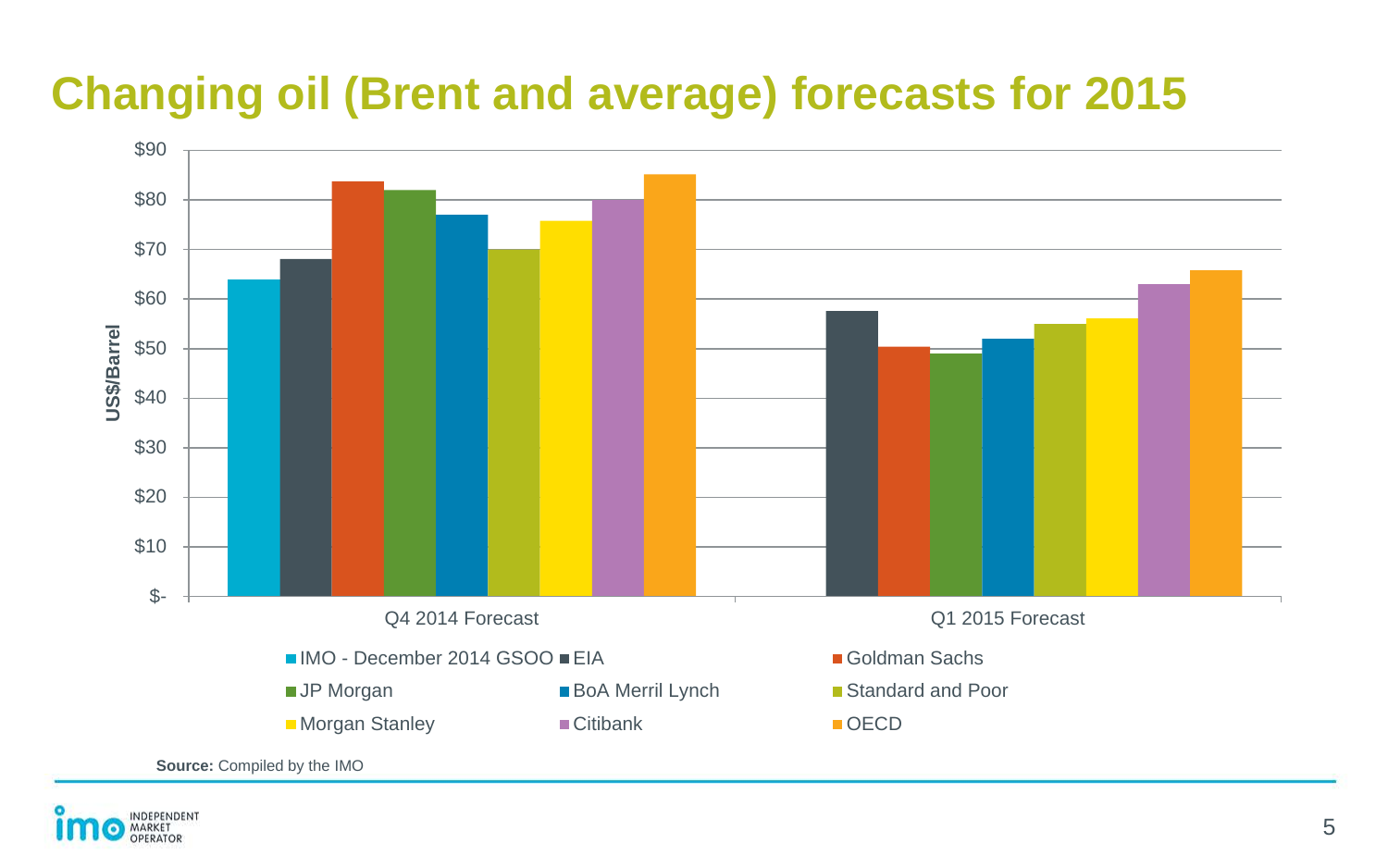## **Changing oil (Brent and average) forecasts for 2015**



**Source:** Compiled by the IMO

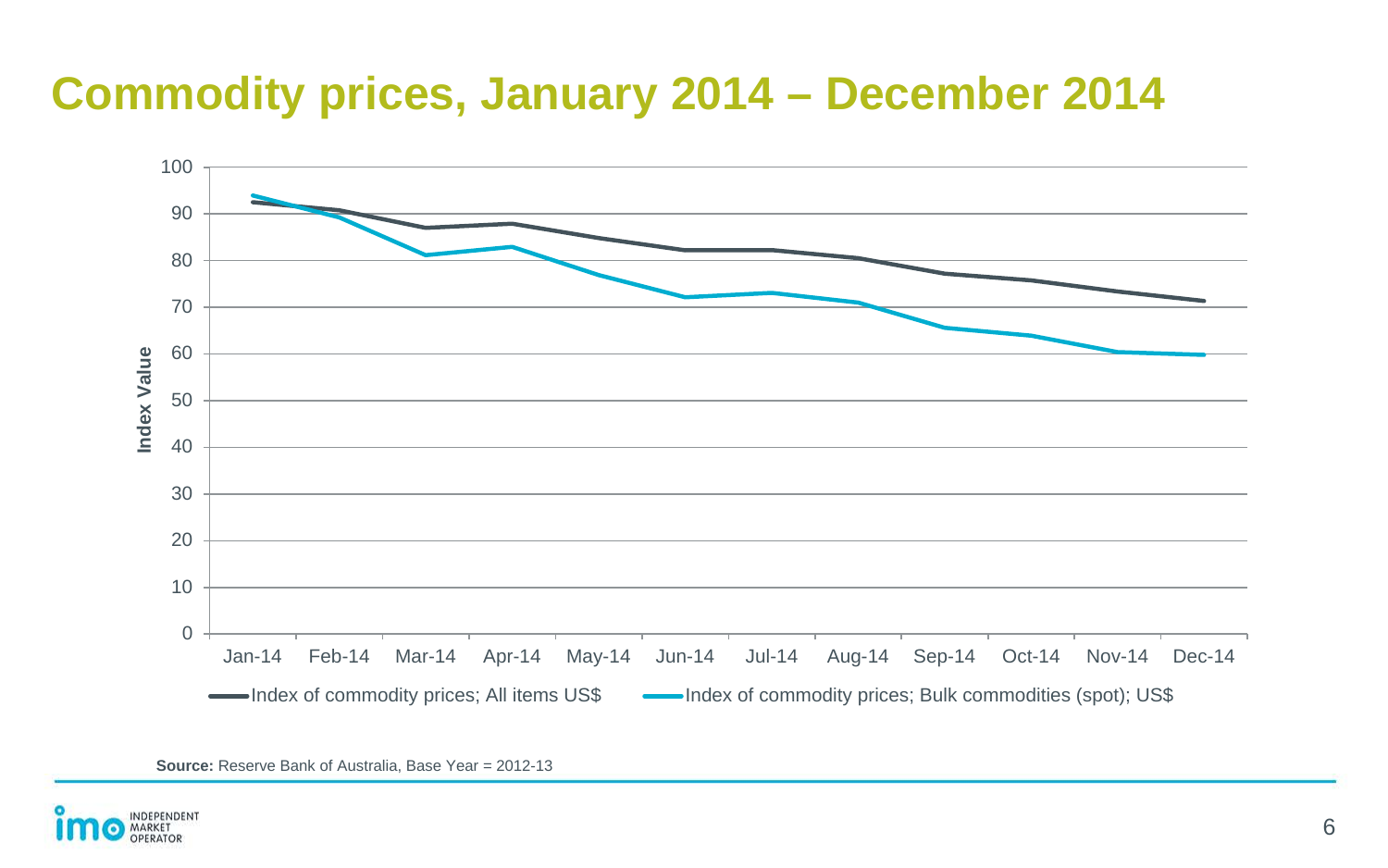#### **Commodity prices, January 2014 – December 2014**



**Source:** Reserve Bank of Australia, Base Year = 2012-13

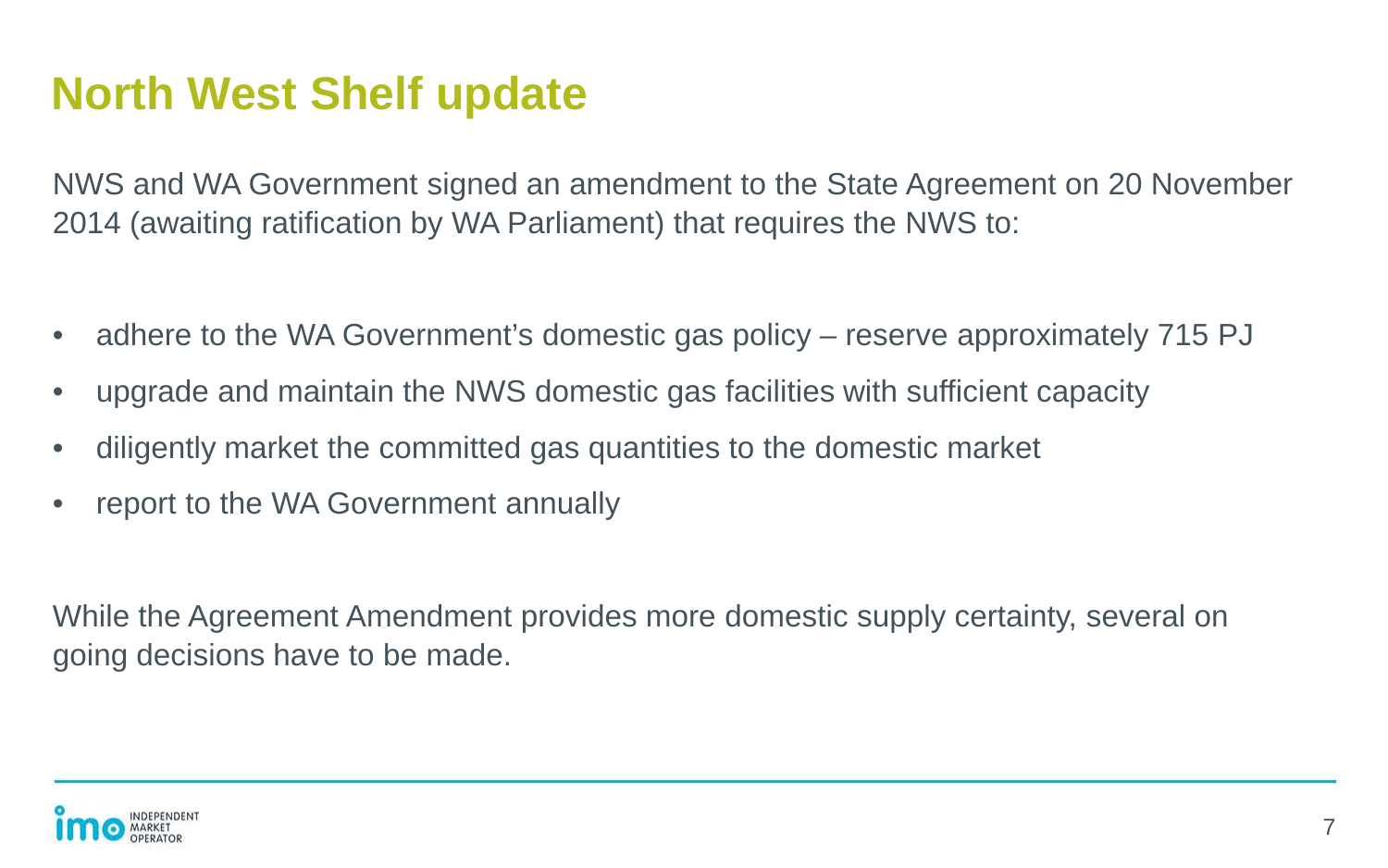#### **North West Shelf update**

NWS and WA Government signed an amendment to the State Agreement on 20 November 2014 (awaiting ratification by WA Parliament) that requires the NWS to:

- adhere to the WA Government's domestic gas policy reserve approximately 715 PJ
- upgrade and maintain the NWS domestic gas facilities with sufficient capacity
- diligently market the committed gas quantities to the domestic market
- report to the WA Government annually

While the Agreement Amendment provides more domestic supply certainty, several on going decisions have to be made.

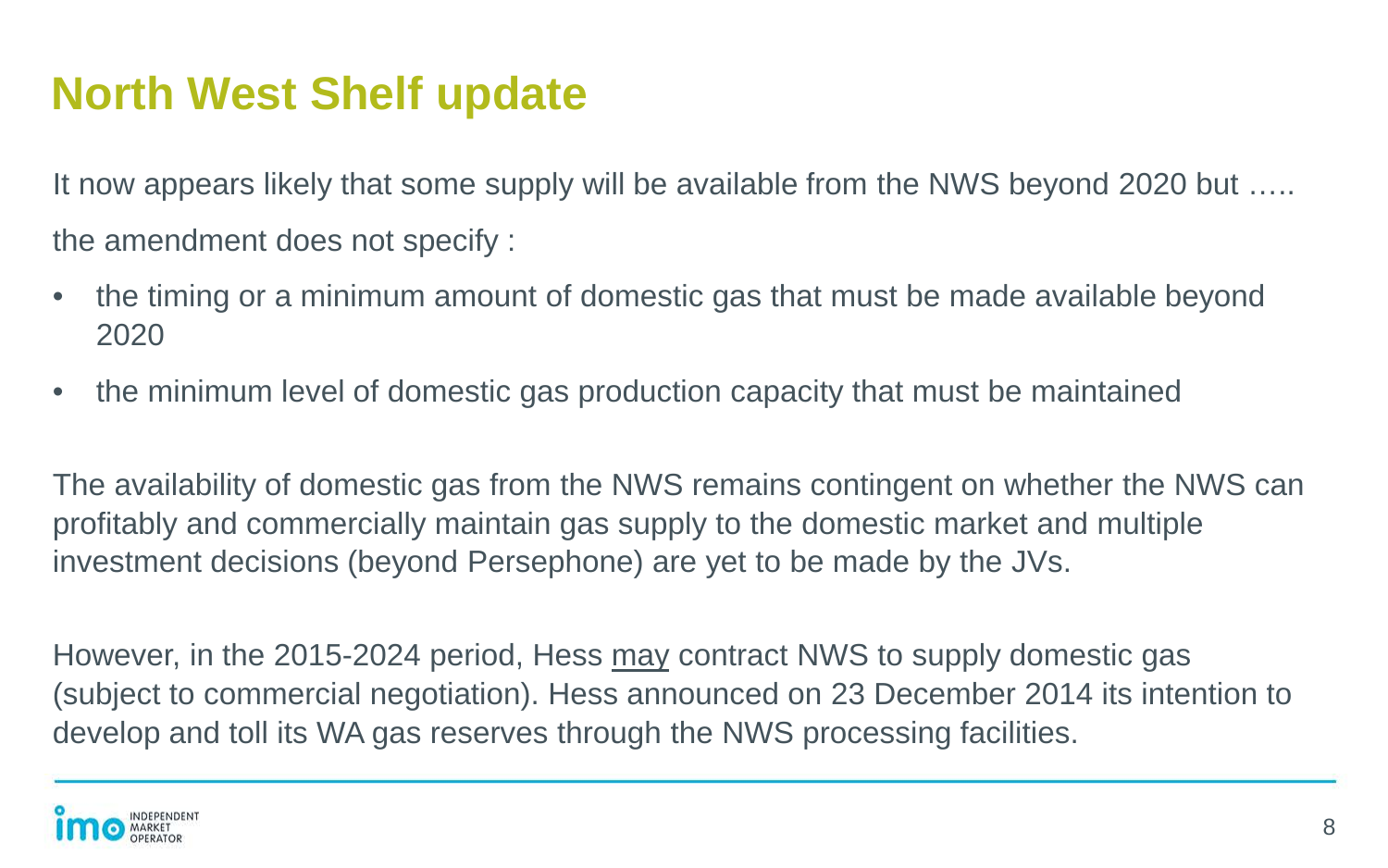#### **North West Shelf update**

It now appears likely that some supply will be available from the NWS beyond 2020 but ….. the amendment does not specify :

- the timing or a minimum amount of domestic gas that must be made available beyond 2020
- the minimum level of domestic gas production capacity that must be maintained

The availability of domestic gas from the NWS remains contingent on whether the NWS can profitably and commercially maintain gas supply to the domestic market and multiple investment decisions (beyond Persephone) are yet to be made by the JVs.

However, in the 2015-2024 period, Hess may contract NWS to supply domestic gas (subject to commercial negotiation). Hess announced on 23 December 2014 its intention to develop and toll its WA gas reserves through the NWS processing facilities.

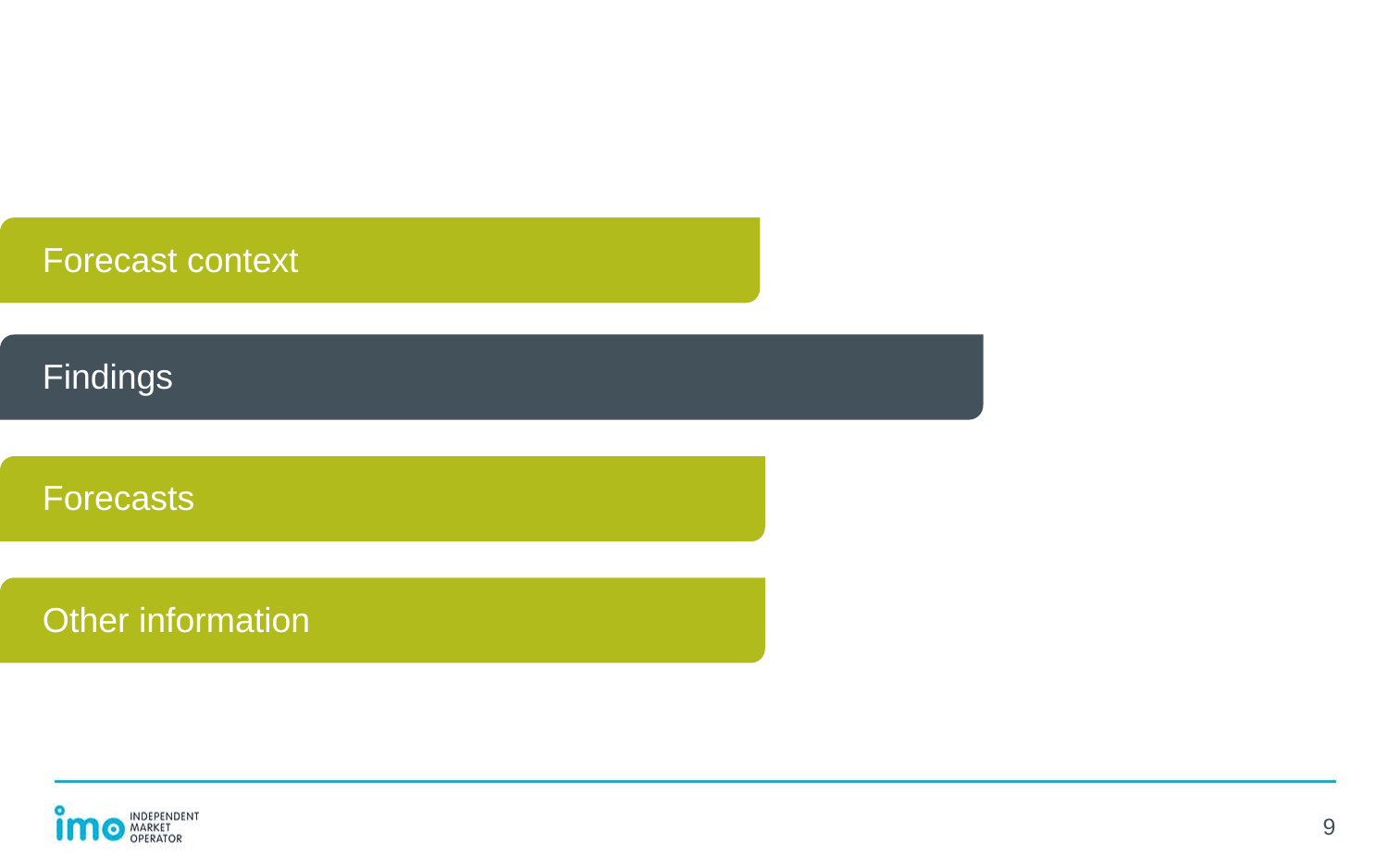| <b>Forecast context</b> |  |
|-------------------------|--|
|                         |  |
| <b>Findings</b>         |  |
|                         |  |
| <b>Forecasts</b>        |  |
|                         |  |
| Other information       |  |
|                         |  |

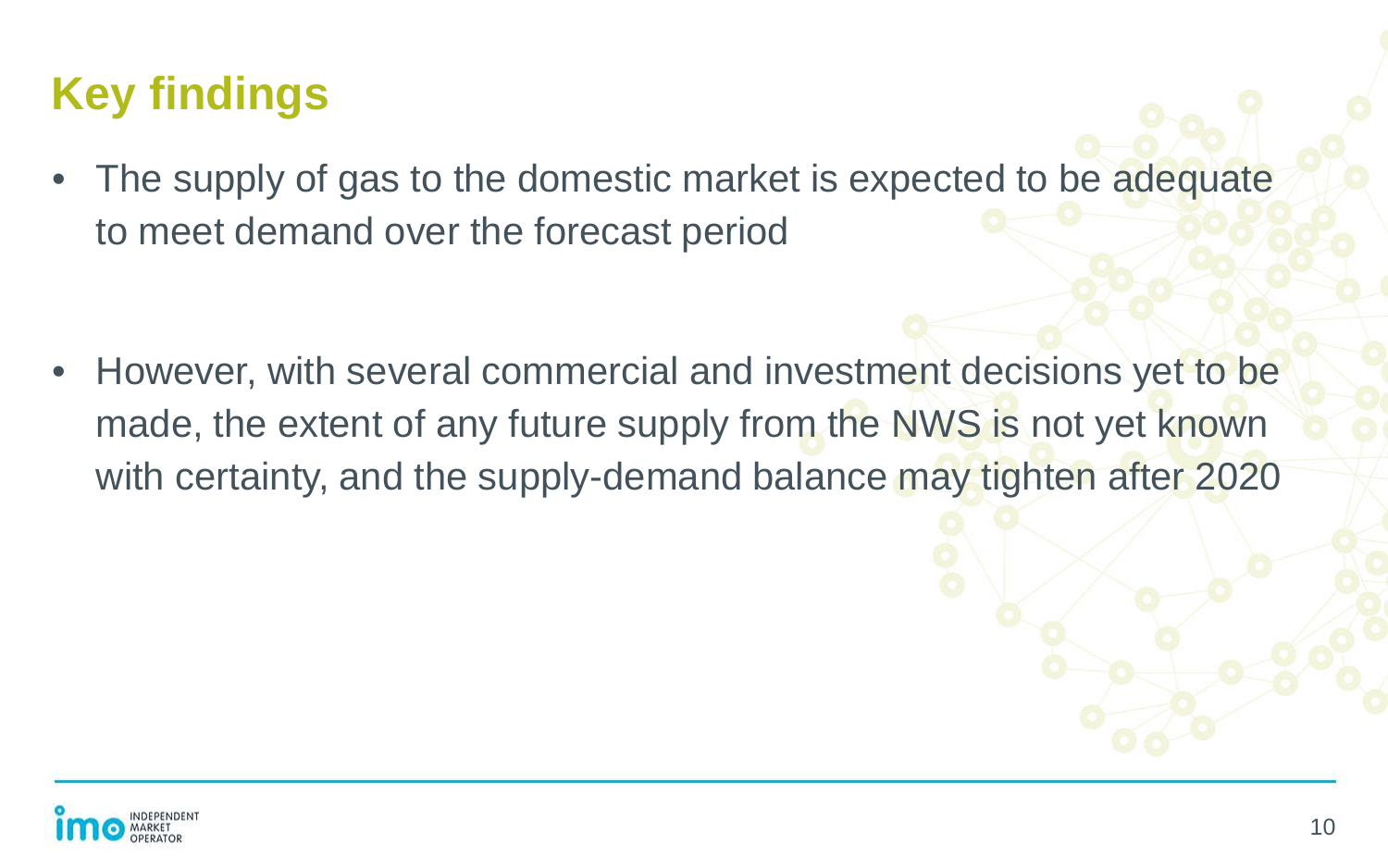## **Key findings**

• The supply of gas to the domestic market is expected to be adequate to meet demand over the forecast period

• However, with several commercial and investment decisions yet to be made, the extent of any future supply from the NWS is not yet known with certainty, and the supply-demand balance may tighten after 2020

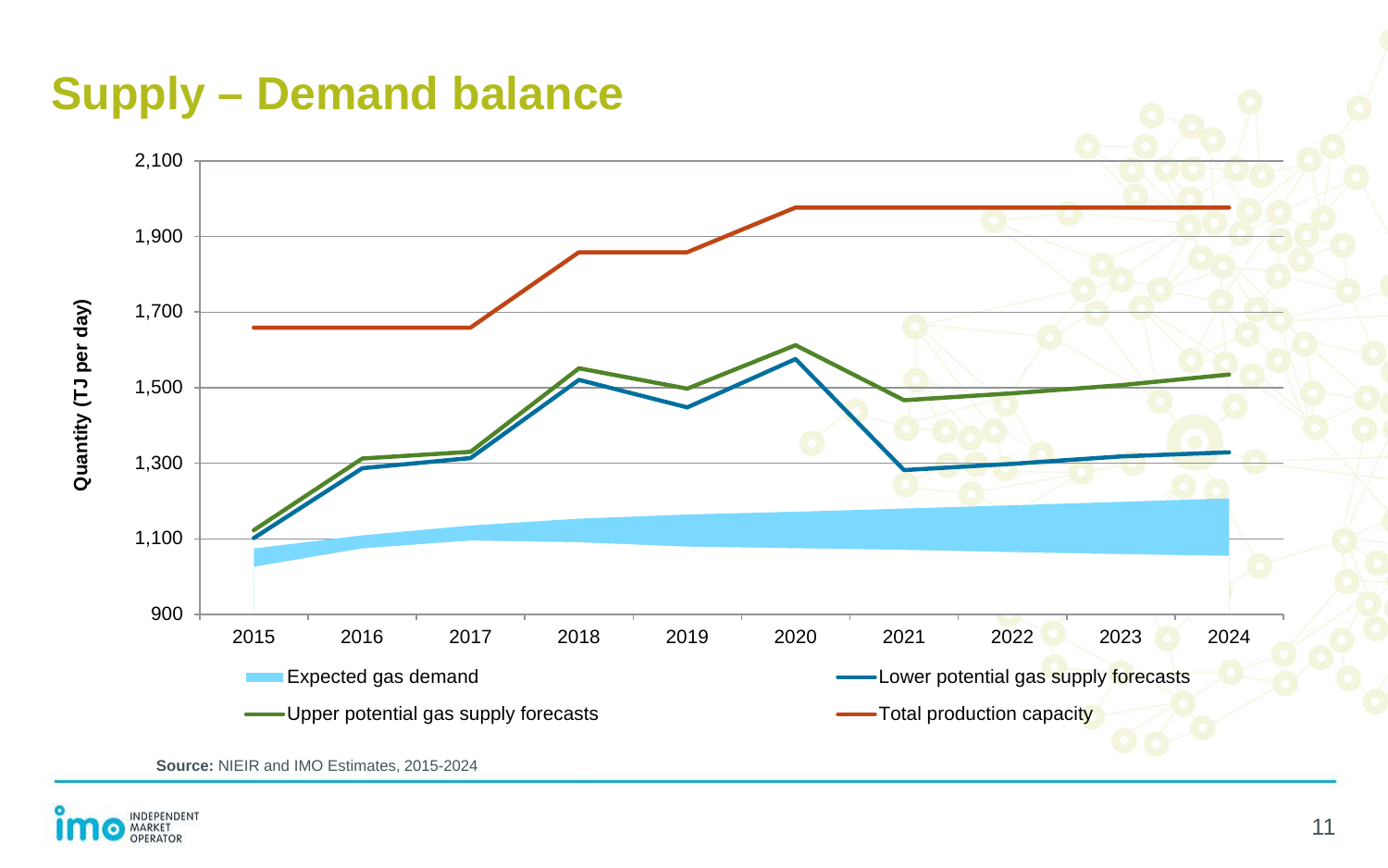



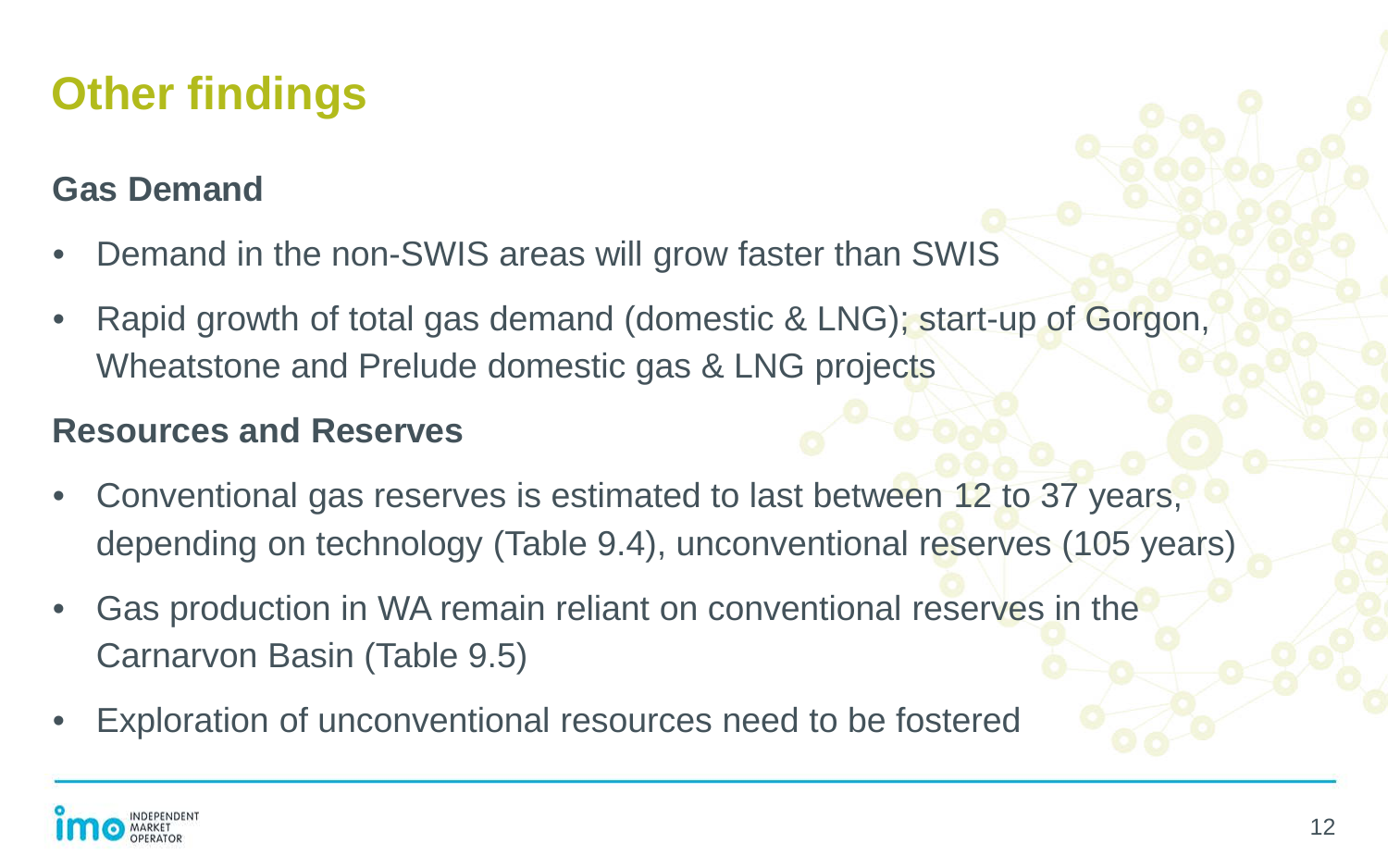## **Other findings**

#### **Gas Demand**

- Demand in the non-SWIS areas will grow faster than SWIS
- Rapid growth of total gas demand (domestic & LNG); start-up of Gorgon, Wheatstone and Prelude domestic gas & LNG projects

#### **Resources and Reserves**

- Conventional gas reserves is estimated to last between 12 to 37 years, depending on technology (Table 9.4), unconventional reserves (105 years)
- Gas production in WA remain reliant on conventional reserves in the Carnarvon Basin (Table 9.5)
- Exploration of unconventional resources need to be fostered

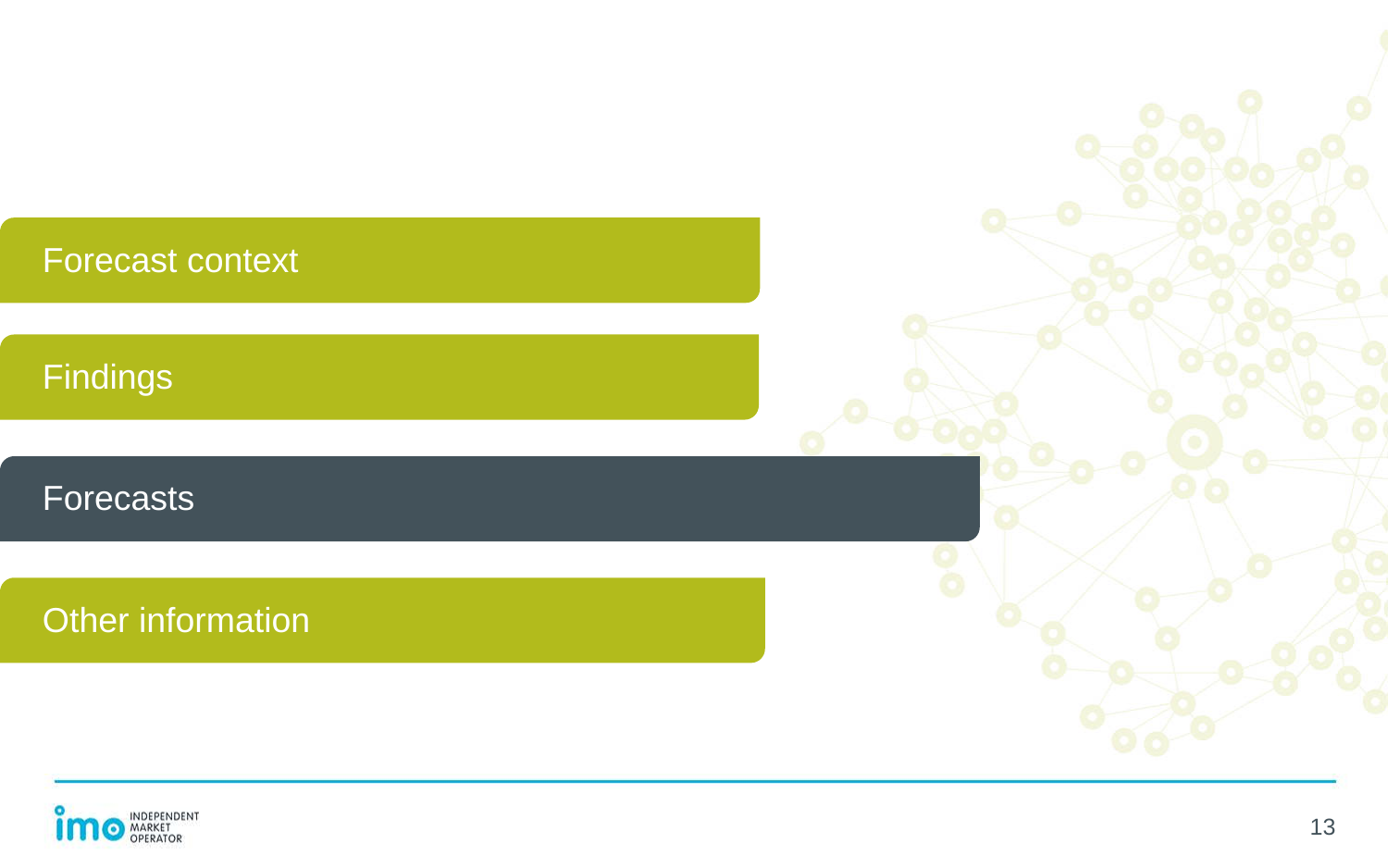| <b>Forecast context</b> |  |
|-------------------------|--|
| Findings                |  |
| Forecasts               |  |
| Other information       |  |
|                         |  |

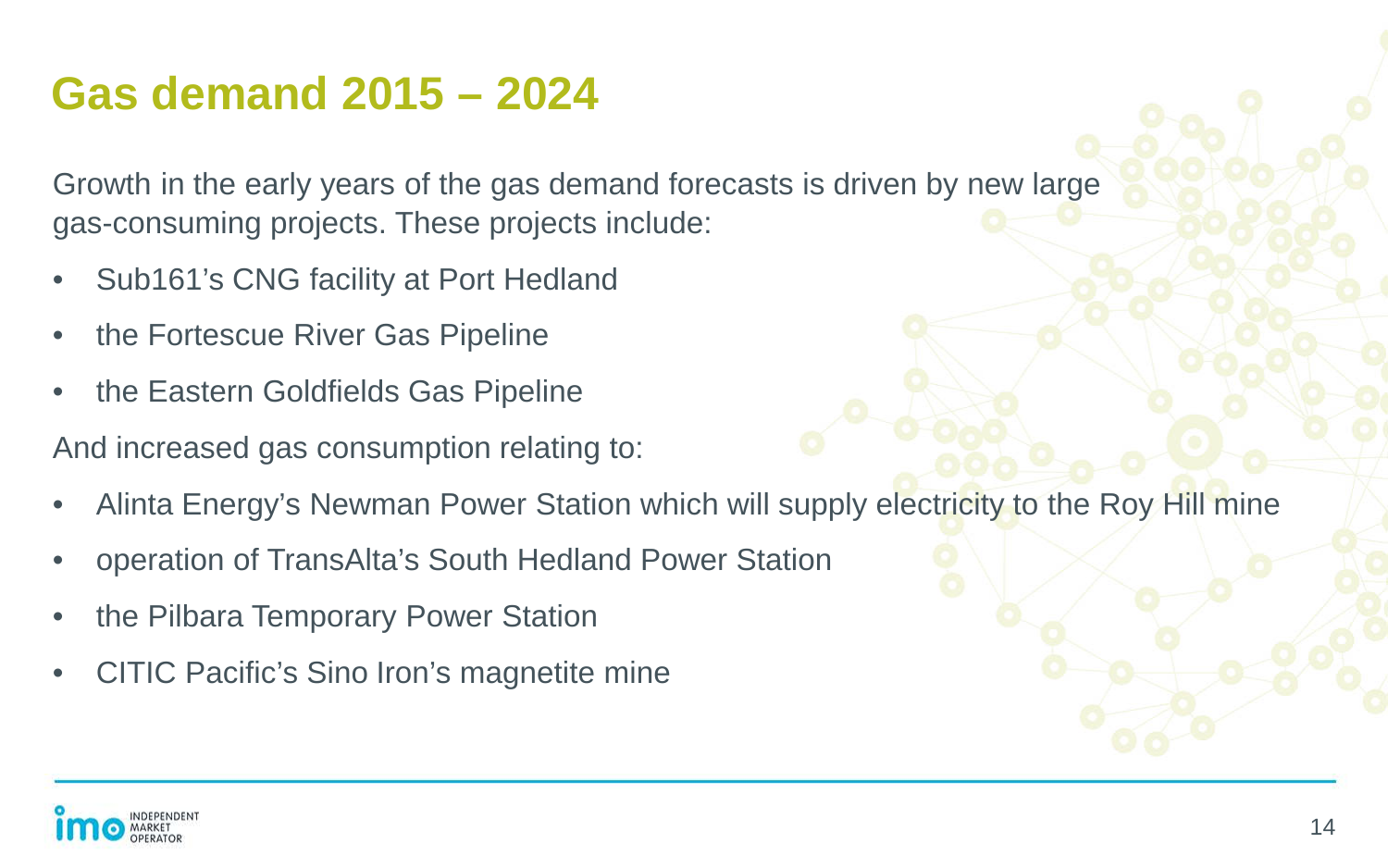### **Gas demand 2015 – 2024**

Growth in the early years of the gas demand forecasts is driven by new large gas-consuming projects. These projects include:

- Sub161's CNG facility at Port Hedland
- the Fortescue River Gas Pipeline
- the Eastern Goldfields Gas Pipeline

And increased gas consumption relating to:

- Alinta Energy's Newman Power Station which will supply electricity to the Roy Hill mine
- operation of TransAlta's South Hedland Power Station
- the Pilbara Temporary Power Station
- CITIC Pacific's Sino Iron's magnetite mine

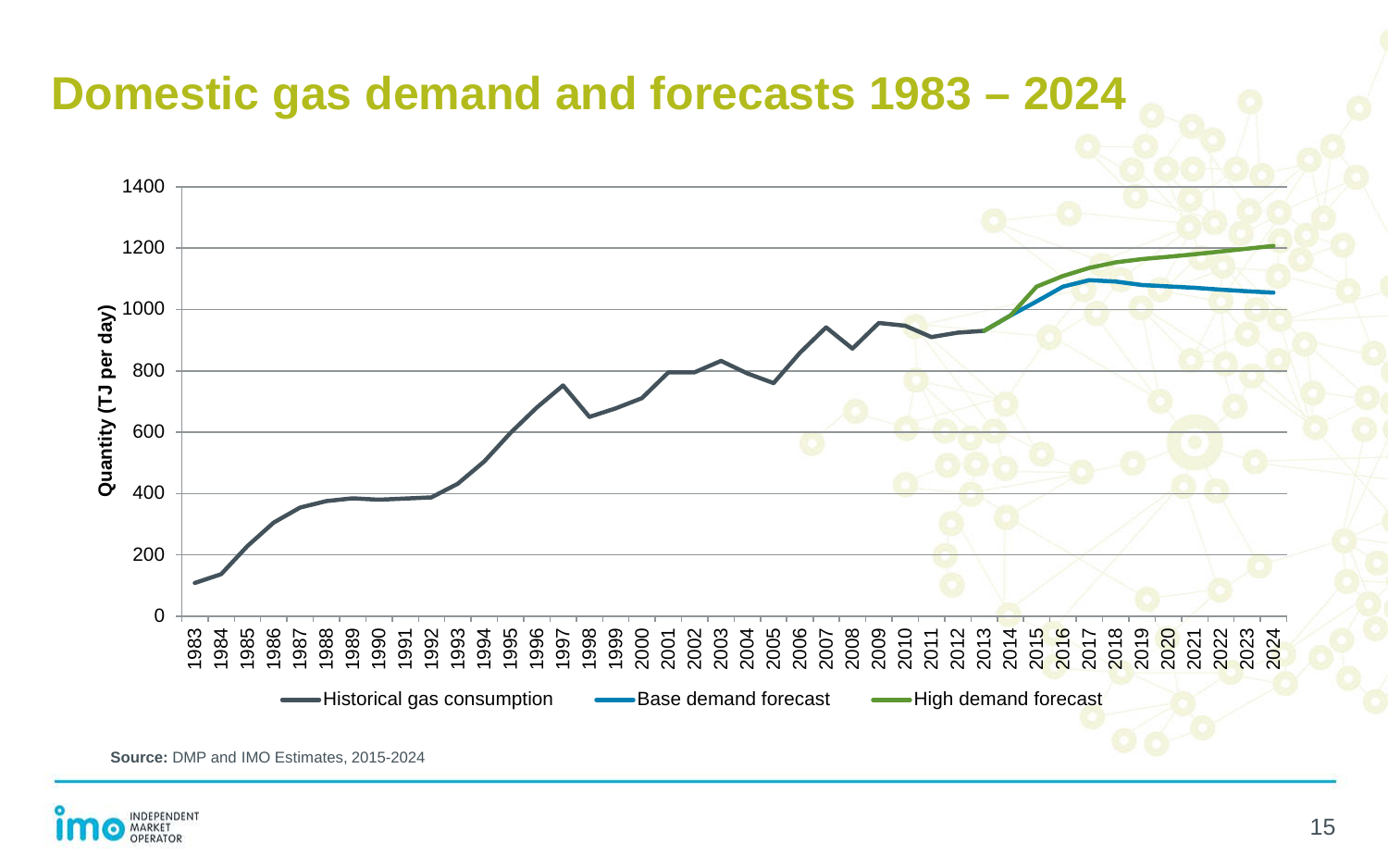

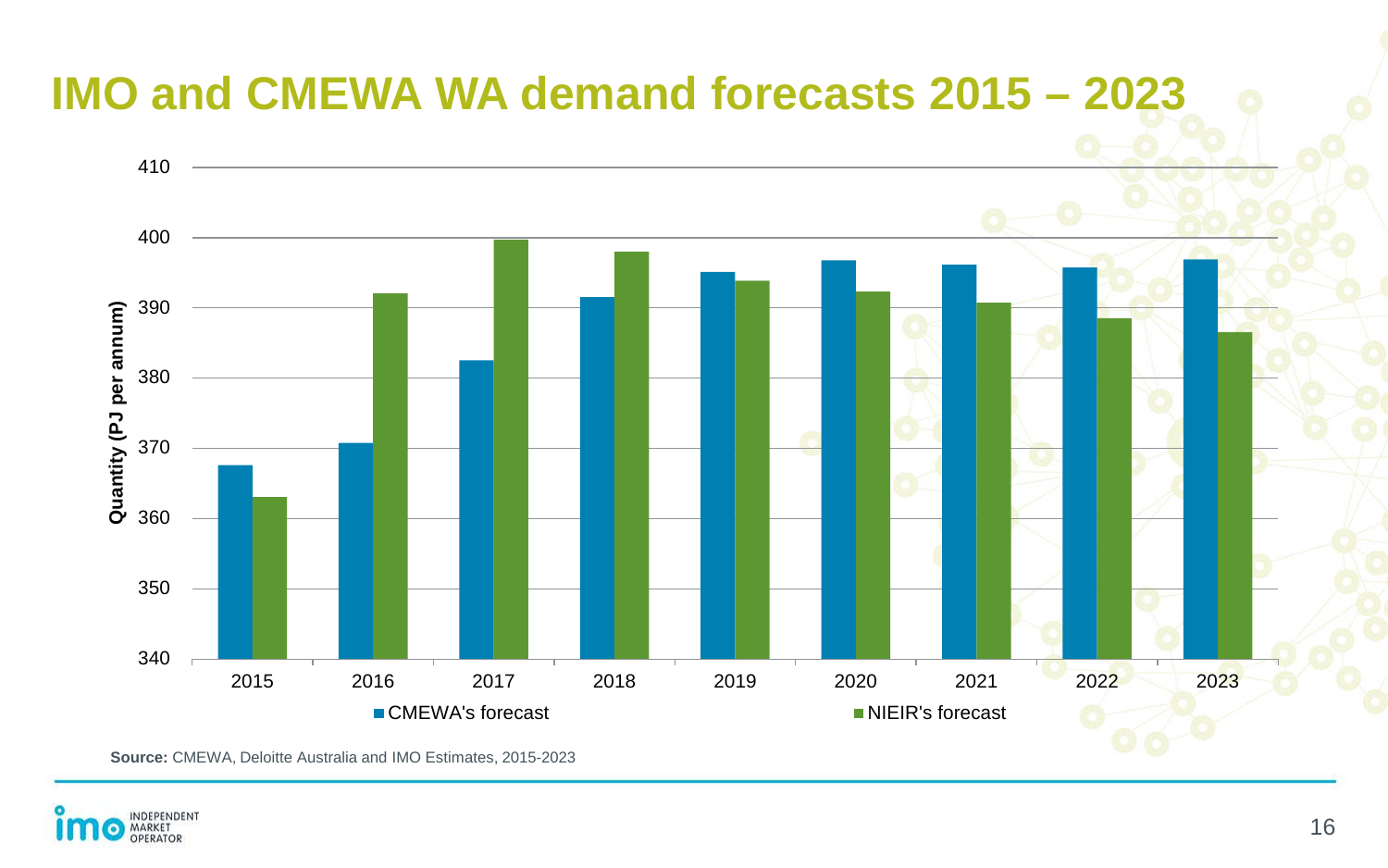## **IMO and CMEWA WA demand forecasts 2015 – 2023**



**Source:** CMEWA, Deloitte Australia and IMO Estimates, 2015-2023

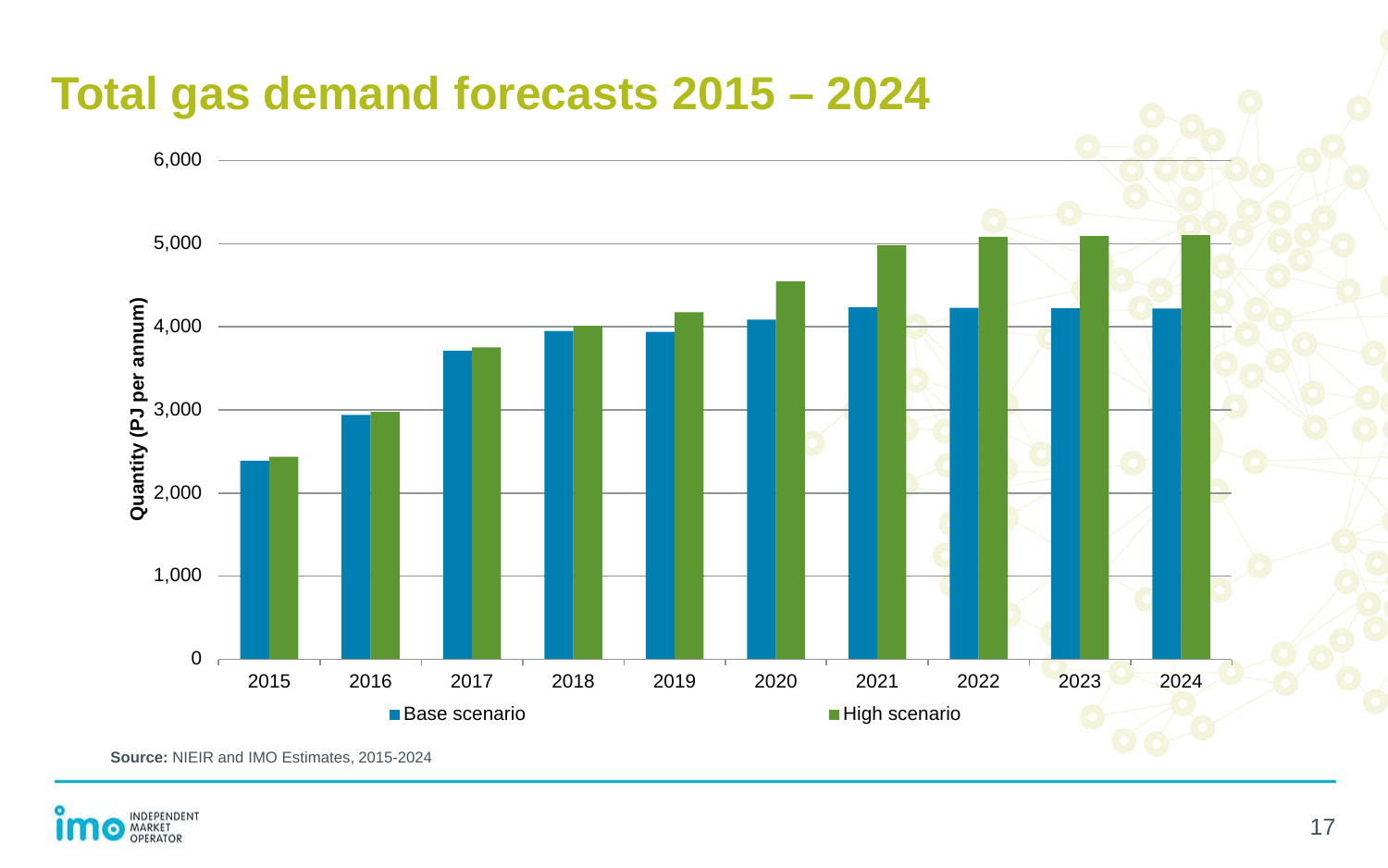

**Source:** NIEIR and IMO Estimates, 2015-2024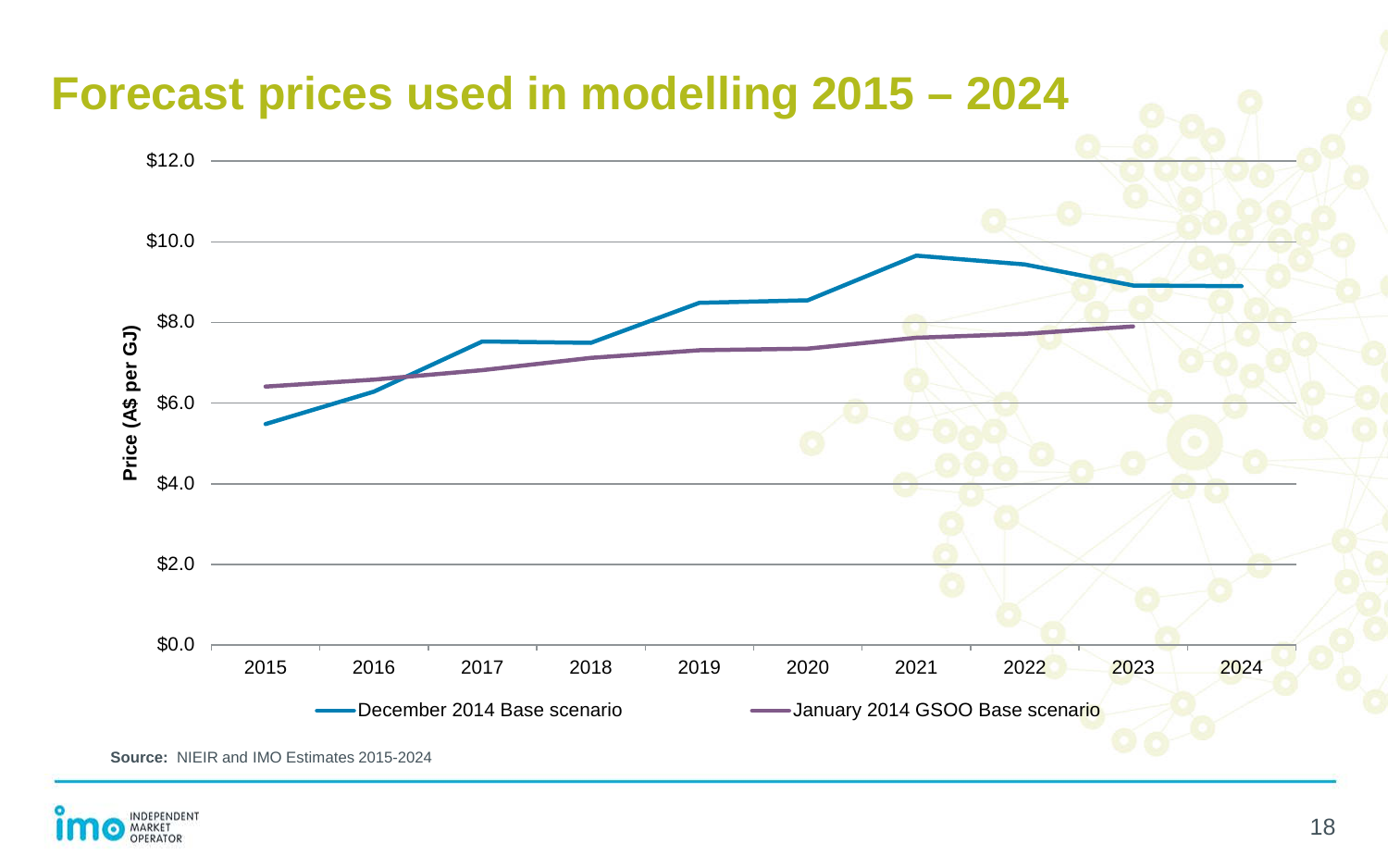

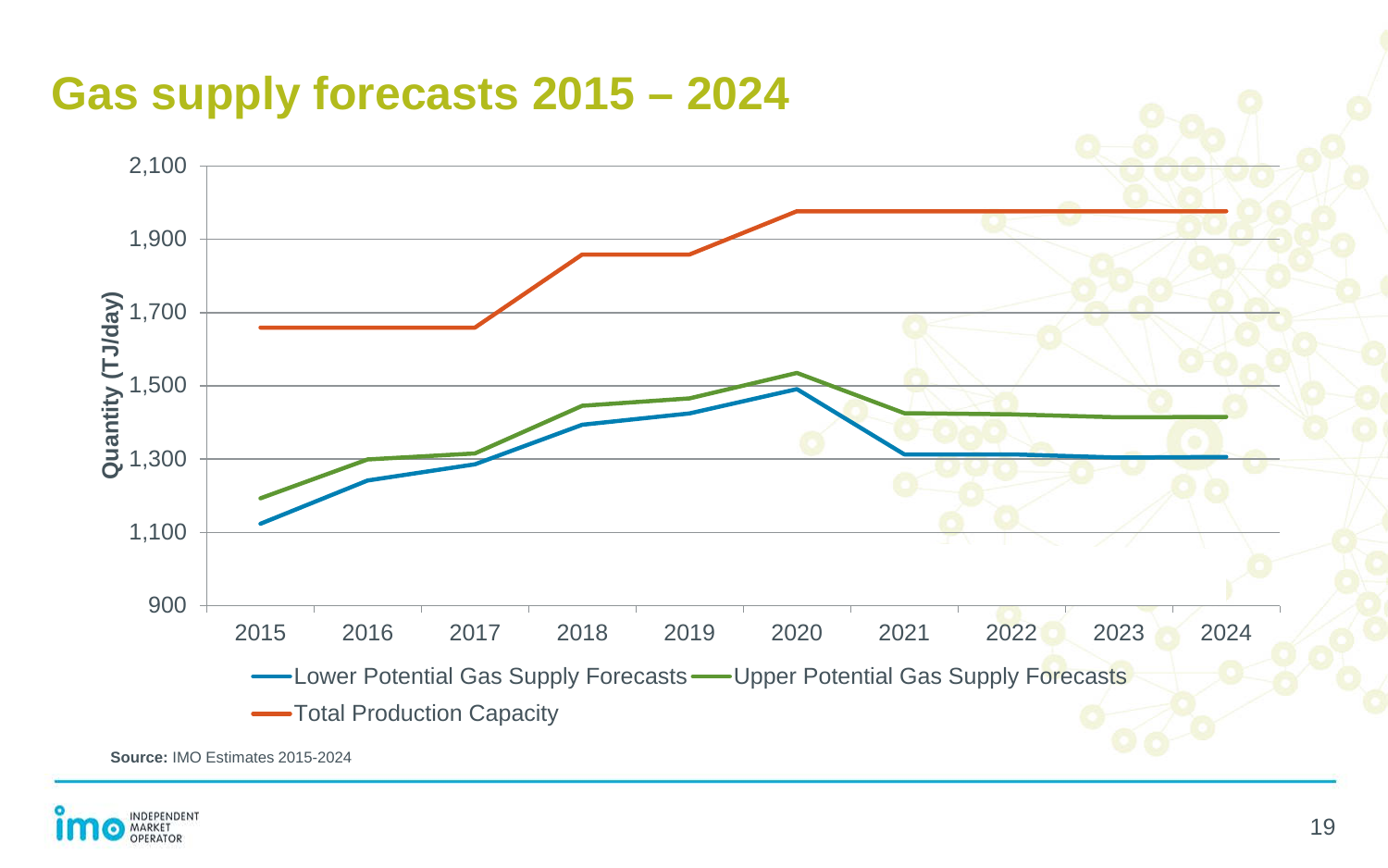

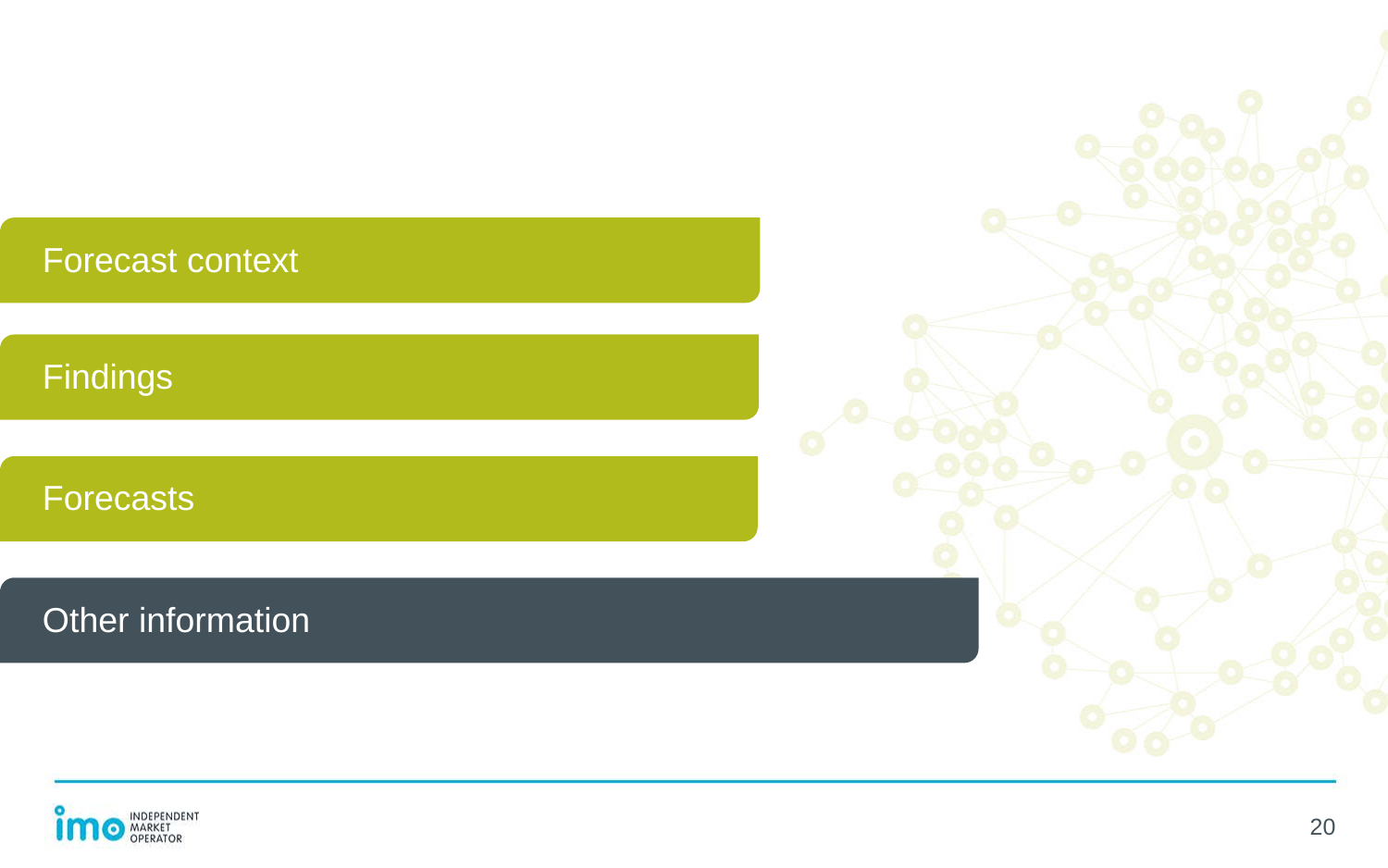| <b>Forecast context</b> |  |
|-------------------------|--|
|                         |  |
| <b>Findings</b>         |  |
|                         |  |
| <b>Forecasts</b>        |  |
|                         |  |
| Other information       |  |
|                         |  |

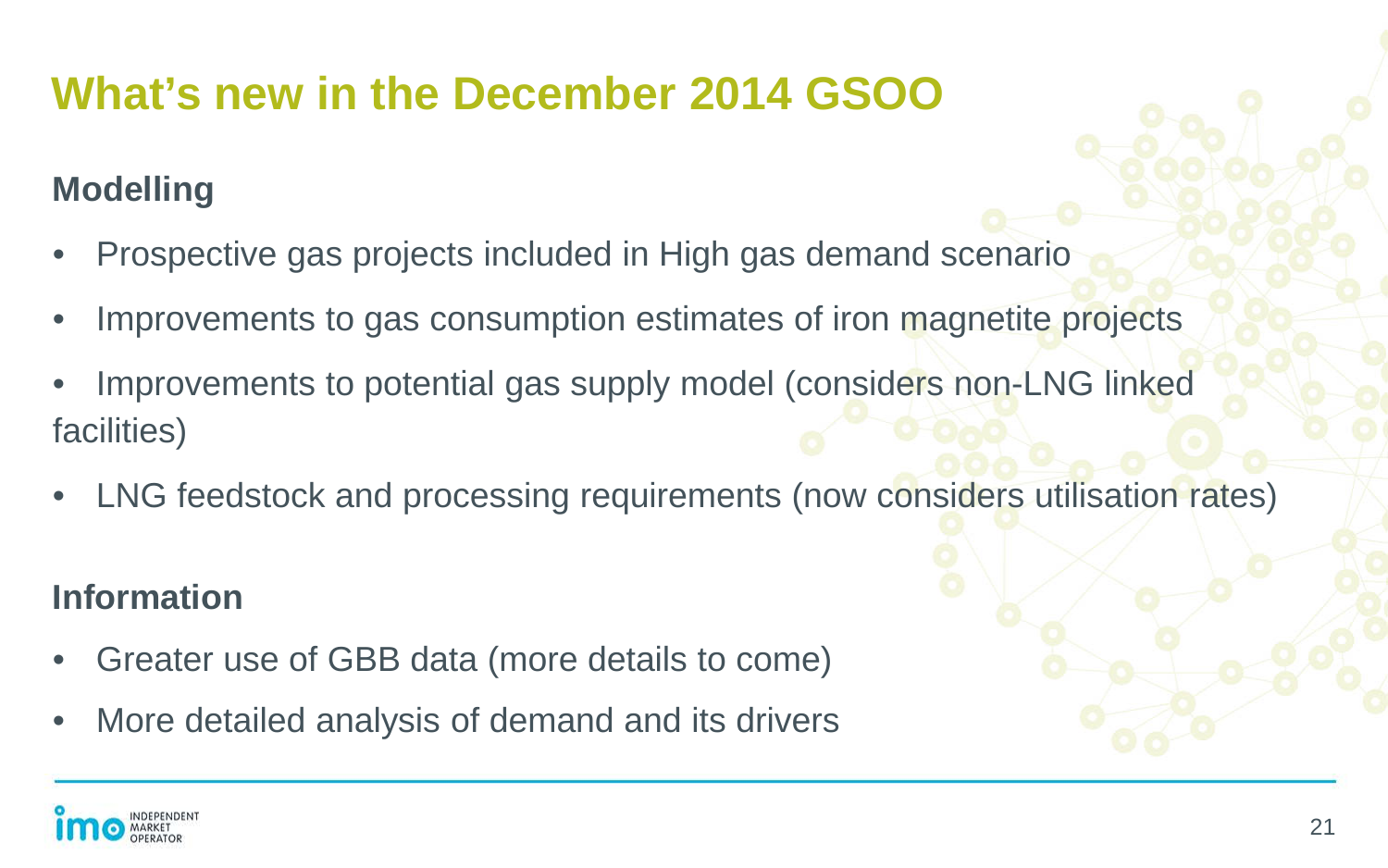## **What's new in the December 2014 GSOO**

#### **Modelling**

- Prospective gas projects included in High gas demand scenario
- Improvements to gas consumption estimates of iron magnetite projects
- Improvements to potential gas supply model (considers non-LNG linked facilities)
- LNG feedstock and processing requirements (now considers utilisation rates)

#### **Information**

- Greater use of GBB data (more details to come)
- More detailed analysis of demand and its drivers

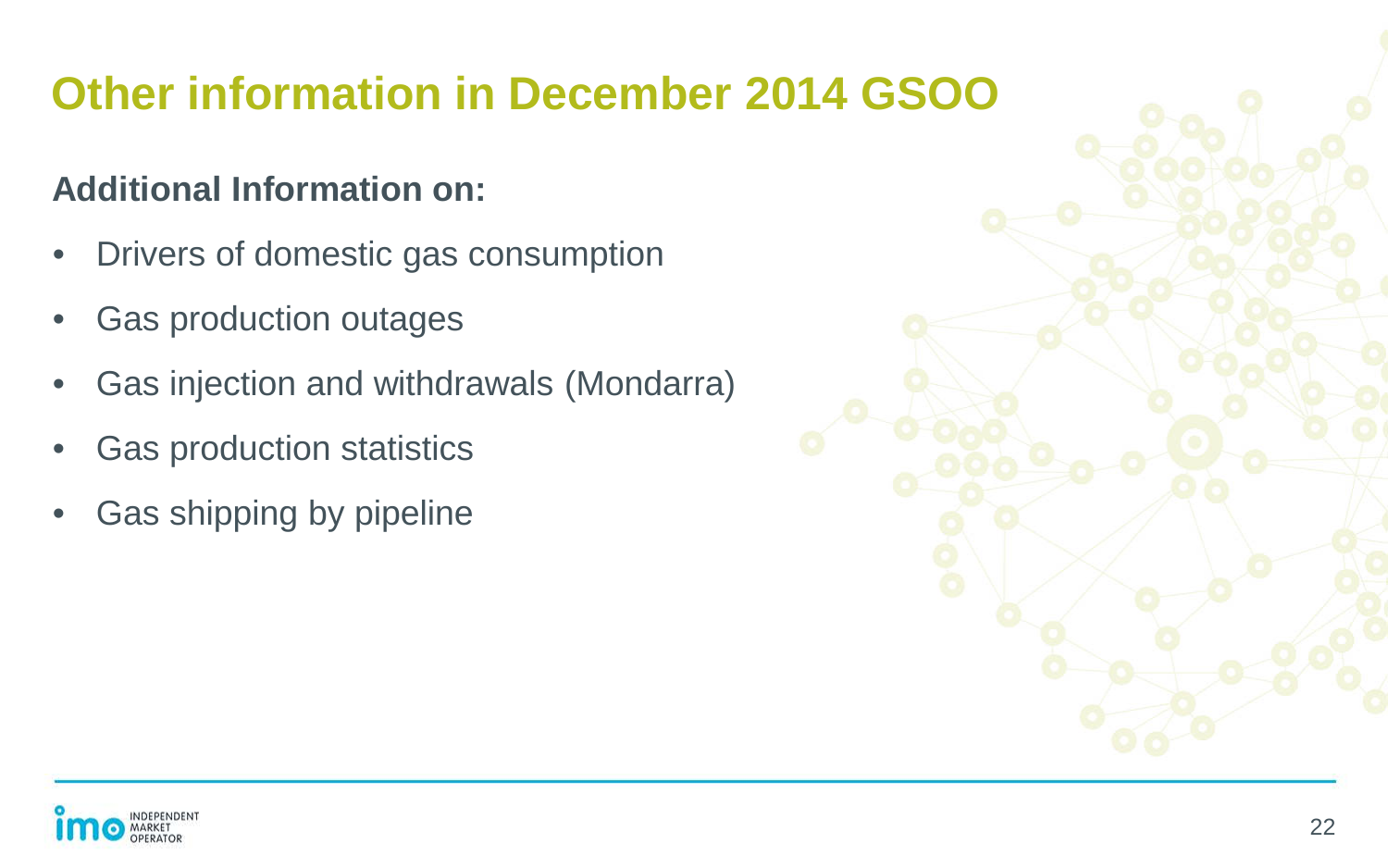## **Other information in December 2014 GSOO**

#### **Additional Information on:**

- Drivers of domestic gas consumption
- Gas production outages
- Gas injection and withdrawals (Mondarra)
- Gas production statistics
- Gas shipping by pipeline



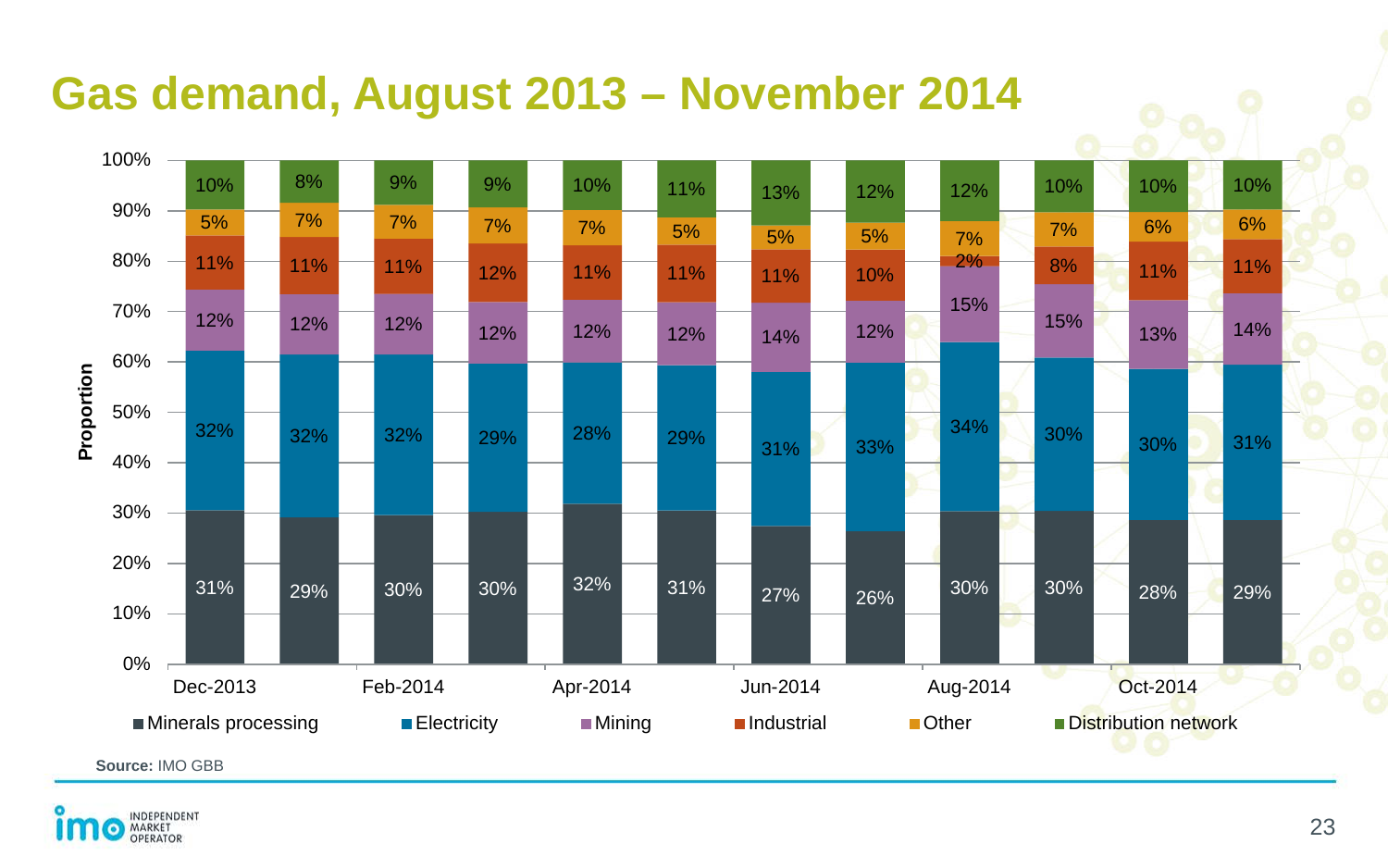### **Gas demand, August 2013 – November 2014**



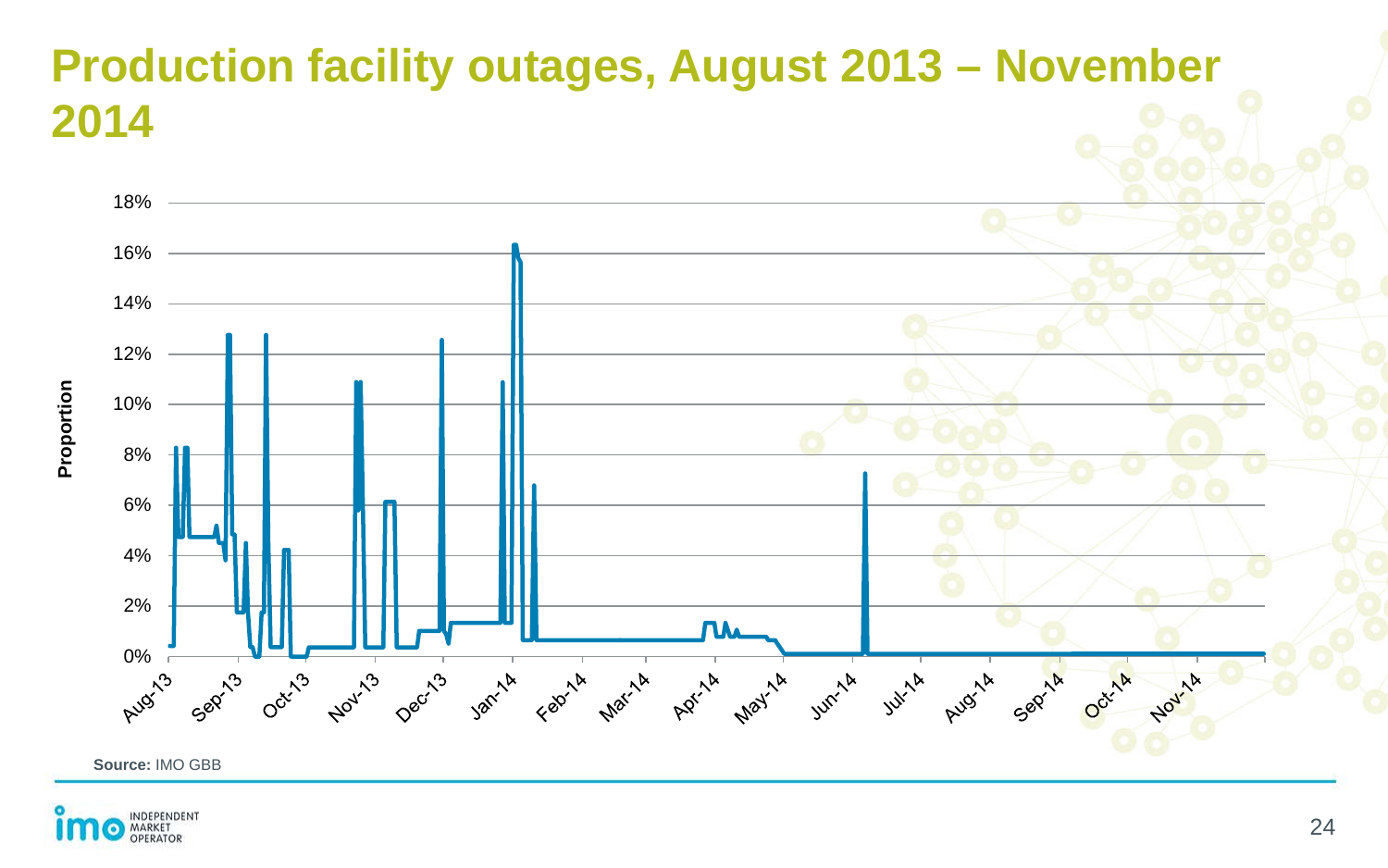#### **Production facility outages, August 2013 – November 2014**



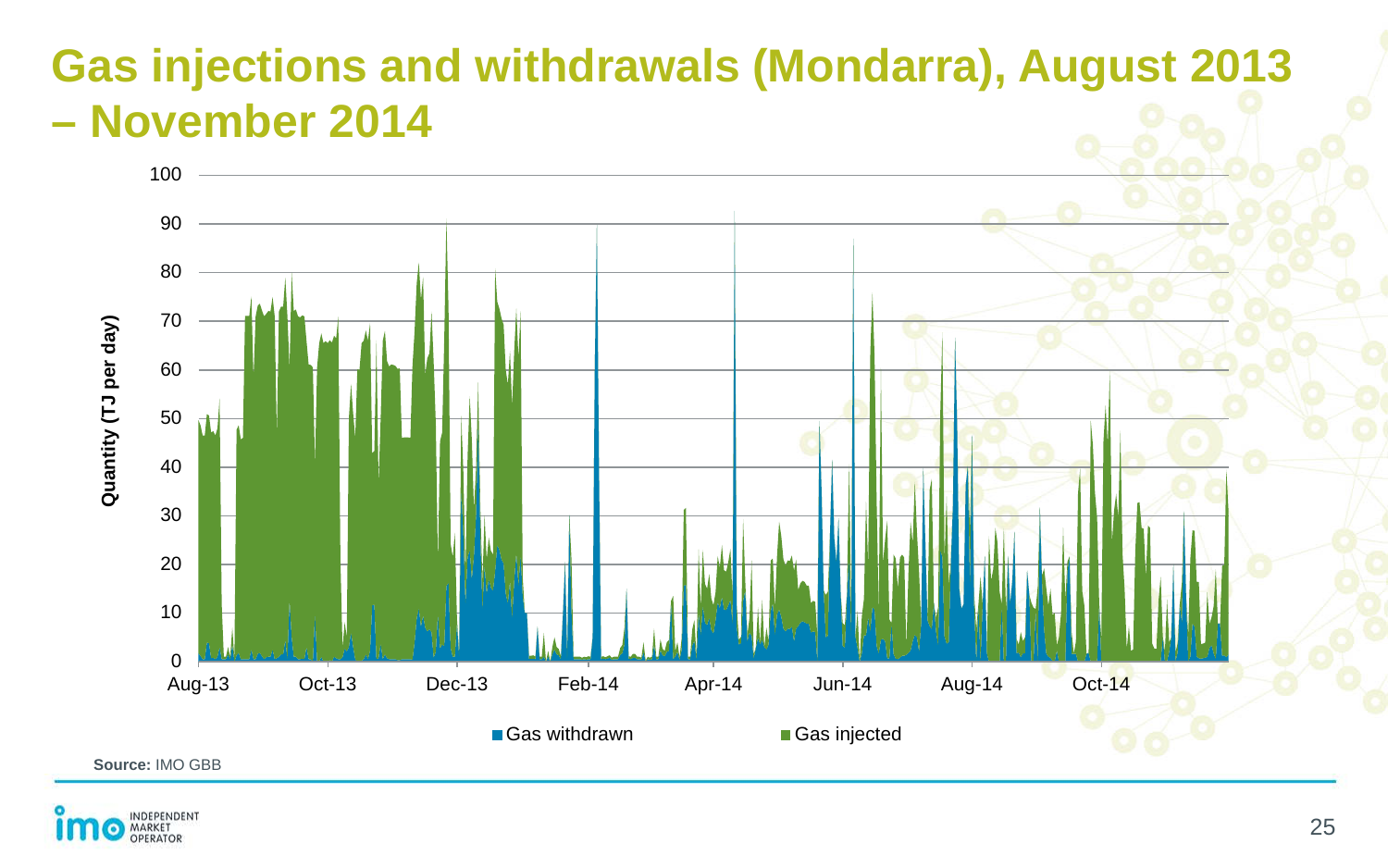### **Gas injections and withdrawals (Mondarra), August 2013 – November 2014**



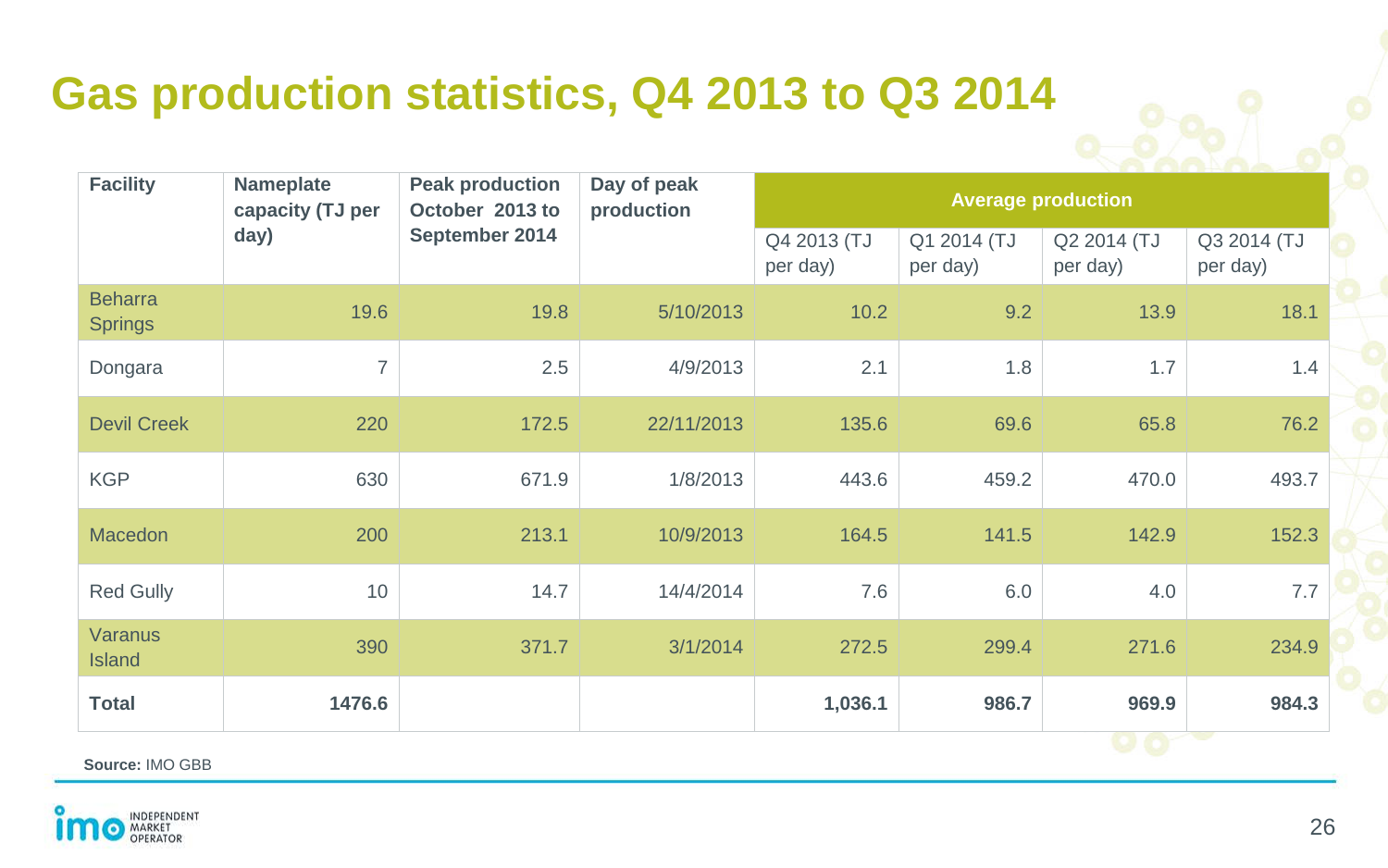## **Gas production statistics, Q4 2013 to Q3 2014**

| <b>Facility</b>                  | <b>Nameplate</b><br><b>Peak production</b><br>October 2013 to<br>capacity (TJ per<br>September 2014<br>day) |       | Day of peak<br>production | <b>Average production</b> |                         |                                       |       |
|----------------------------------|-------------------------------------------------------------------------------------------------------------|-------|---------------------------|---------------------------|-------------------------|---------------------------------------|-------|
|                                  |                                                                                                             |       | Q4 2013 (TJ<br>per day)   | Q1 2014 (TJ<br>per day)   | Q2 2014 (TJ<br>per day) | Q3 2014 (TJ<br>per day)               |       |
| <b>Beharra</b><br><b>Springs</b> | 19.6                                                                                                        | 19.8  | 5/10/2013                 | 10.2                      | 9.2                     | 13.9                                  | 18.1  |
| Dongara                          | $\overline{7}$                                                                                              | 2.5   | 4/9/2013                  | 2.1                       | 1.8                     | 1.7                                   | 1.4   |
| <b>Devil Creek</b>               | 220                                                                                                         | 172.5 | 22/11/2013                | 135.6                     | 69.6                    | 65.8                                  | 76.2  |
| <b>KGP</b>                       | 630                                                                                                         | 671.9 | 1/8/2013                  | 443.6                     | 459.2                   | 470.0                                 | 493.7 |
| <b>Macedon</b>                   | 200                                                                                                         | 213.1 | 10/9/2013                 | 164.5                     | 141.5                   | 142.9                                 | 152.3 |
| Red Gully                        | 10                                                                                                          | 14.7  | 14/4/2014                 | 7.6                       | 6.0                     | 4.0                                   | 7.7   |
| Varanus<br><b>Island</b>         | 390                                                                                                         | 371.7 | 3/1/2014                  | 272.5                     | 299.4                   | 271.6                                 | 234.9 |
| <b>Total</b>                     | 1476.6                                                                                                      |       |                           | 1,036.1                   | 986.7                   | 969.9<br><b>AND AND REAL PROPERTY</b> | 984.3 |

**Source:** IMO GBB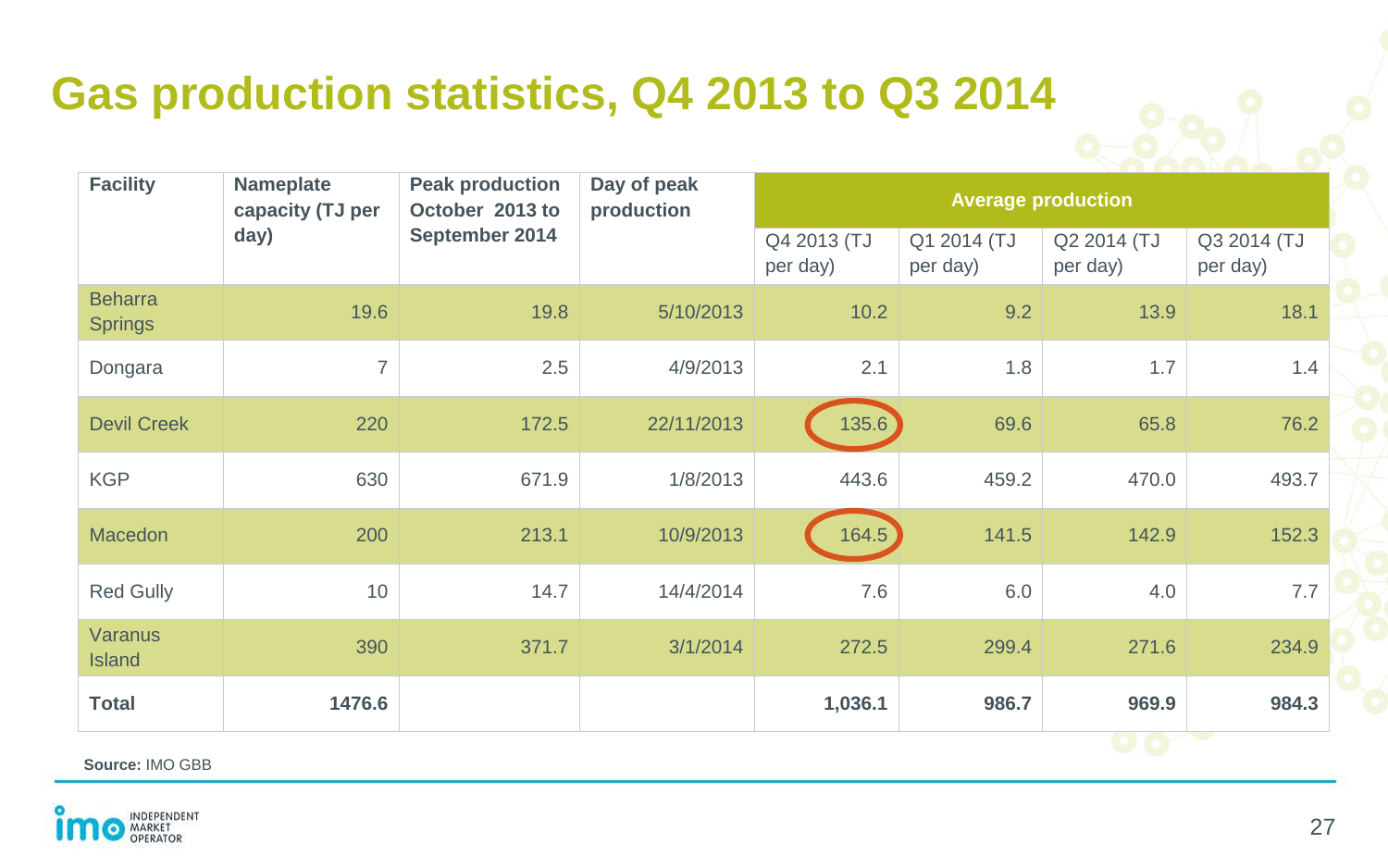## **Gas production statistics, Q4 2013 to Q3 2014**

| <b>Facility</b>                  | <b>Nameplate</b><br><b>Peak production</b><br>October 2013 to<br>capacity (TJ per<br>September 2014<br>day) |       | Day of peak<br>production | <b>Average production</b> |                         |                            |       |
|----------------------------------|-------------------------------------------------------------------------------------------------------------|-------|---------------------------|---------------------------|-------------------------|----------------------------|-------|
|                                  |                                                                                                             |       | Q4 2013 (TJ<br>per day)   | Q1 2014 (TJ<br>per day)   | Q2 2014 (TJ<br>per day) | Q3 2014 (TJ<br>per day)    |       |
| <b>Beharra</b><br><b>Springs</b> | 19.6                                                                                                        | 19.8  | 5/10/2013                 | 10.2                      | 9.2                     | 13.9                       | 18.1  |
| Dongara                          | $\overline{7}$                                                                                              | 2.5   | 4/9/2013                  | 2.1                       | 1.8                     | 1.7                        | 1.4   |
| <b>Devil Creek</b>               | 220                                                                                                         | 172.5 | 22/11/2013                | 135.6                     | 69.6                    | 65.8                       | 76.2  |
| <b>KGP</b>                       | 630                                                                                                         | 671.9 | 1/8/2013                  | 443.6                     | 459.2                   | 470.0                      | 493.7 |
| <b>Macedon</b>                   | 200                                                                                                         | 213.1 | 10/9/2013                 | 164.5                     | 141.5                   | 142.9                      | 152.3 |
| Red Gully                        | 10                                                                                                          | 14.7  | 14/4/2014                 | 7.6                       | 6.0                     | 4.0                        | 7.7   |
| <b>Varanus</b><br><b>Island</b>  | 390                                                                                                         | 371.7 | 3/1/2014                  | 272.5                     | 299.4                   | 271.6                      | 234.9 |
| <b>Total</b>                     | 1476.6                                                                                                      |       |                           | 1,036.1                   | 986.7                   | 969.9<br><b>CONTRACTOR</b> | 984.3 |

**Source:** IMO GBB

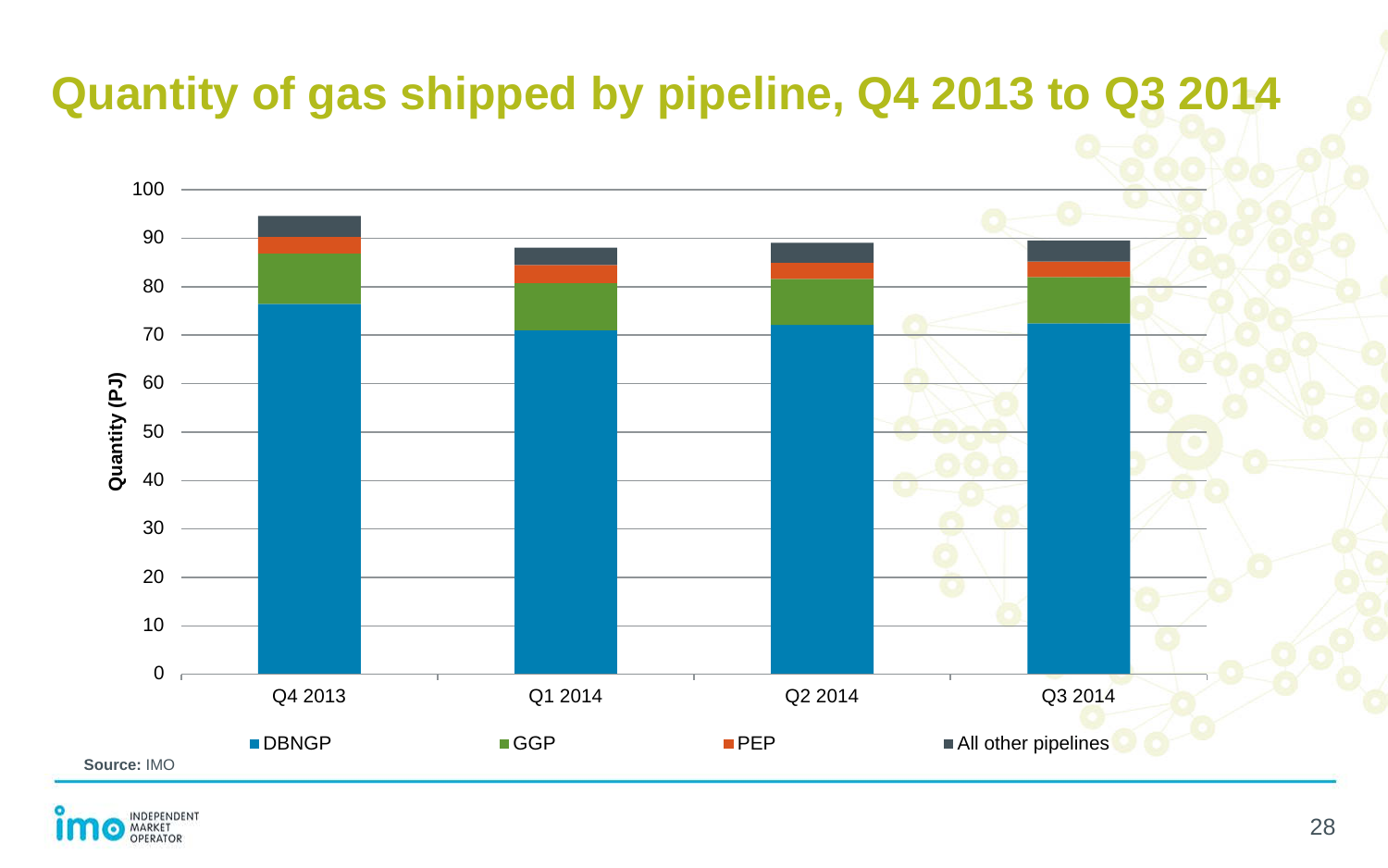## **Quantity of gas shipped by pipeline, Q4 2013 to Q3 2014**